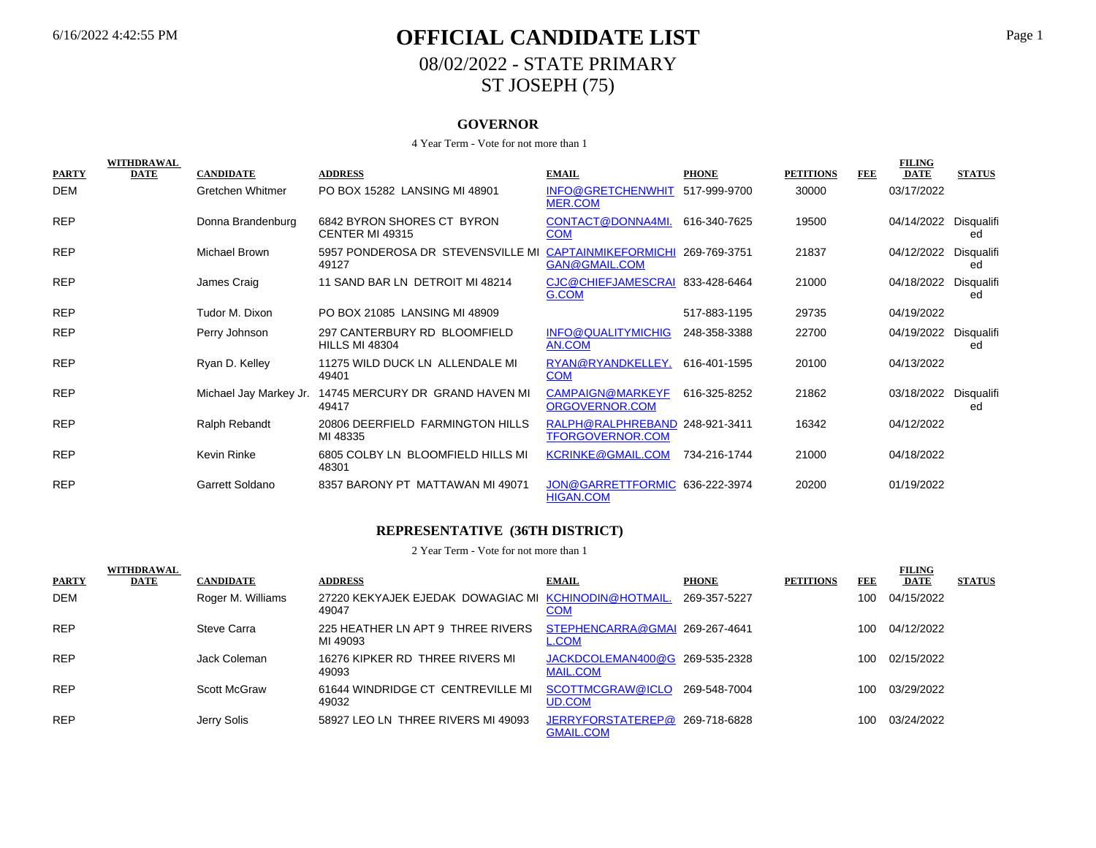# 6/16/2022 4:42:55 PM **OFFICIAL CANDIDATE LIST** Page 1 08/02/2022 - STATE PRIMARY ST JOSEPH (75)

#### **GOVERNOR**

#### 4 Year Term - Vote for not more than 1

| <b>PARTY</b> | WITHDRAWAL<br><b>DATE</b> | <b>CANDIDATE</b>       | <b>ADDRESS</b>                                        | <b>EMAIL</b>                                              | <b>PHONE</b> | <b>PETITIONS</b> | <b>FEE</b> | <b>FILING</b><br><b>DATE</b> | <b>STATUS</b>    |
|--------------|---------------------------|------------------------|-------------------------------------------------------|-----------------------------------------------------------|--------------|------------------|------------|------------------------------|------------------|
| DEM          |                           | Gretchen Whitmer       | PO BOX 15282 LANSING MI 48901                         | INFO@GRETCHENWHIT 517-999-9700<br><b>MER.COM</b>          |              | 30000            |            | 03/17/2022                   |                  |
| <b>REP</b>   |                           | Donna Brandenburg      | 6842 BYRON SHORES CT BYRON<br>CENTER MI 49315         | CONTACT@DONNA4MI.<br><b>COM</b>                           | 616-340-7625 | 19500            |            | 04/14/2022                   | Disqualifi<br>ed |
| <b>REP</b>   |                           | <b>Michael Brown</b>   | 5957 PONDEROSA DR STEVENSVILLE MI<br>49127            | <b>CAPTAINMIKEFORMICHI</b><br><b>GAN@GMAIL.COM</b>        | 269-769-3751 | 21837            |            | 04/12/2022                   | Disqualifi<br>ed |
| <b>REP</b>   |                           | James Craig            | 11 SAND BAR LN DETROIT MI 48214                       | CJC@CHIEFJAMESCRAI<br>G.COM                               | 833-428-6464 | 21000            |            | 04/18/2022                   | Disqualifi<br>ed |
| <b>REP</b>   |                           | Tudor M. Dixon         | PO BOX 21085 LANSING MI 48909                         |                                                           | 517-883-1195 | 29735            |            | 04/19/2022                   |                  |
| <b>REP</b>   |                           | Perry Johnson          | 297 CANTERBURY RD BLOOMFIELD<br><b>HILLS MI 48304</b> | INFO@QUALITYMICHIG<br>AN.COM                              | 248-358-3388 | 22700            |            | 04/19/2022                   | Disqualifi<br>ed |
| <b>REP</b>   |                           | Ryan D. Kelley         | 11275 WILD DUCK LN ALLENDALE MI<br>49401              | RYAN@RYANDKELLEY.<br><b>COM</b>                           | 616-401-1595 | 20100            |            | 04/13/2022                   |                  |
| <b>REP</b>   |                           | Michael Jay Markey Jr. | 14745 MERCURY DR GRAND HAVEN MI<br>49417              | CAMPAIGN@MARKEYF<br>ORGOVERNOR.COM                        | 616-325-8252 | 21862            |            | 03/18/2022                   | Disqualifi<br>ed |
| <b>REP</b>   |                           | Ralph Rebandt          | 20806 DEERFIELD FARMINGTON HILLS<br>MI 48335          | RALPH@RALPHREBAND 248-921-3411<br><b>TFORGOVERNOR.COM</b> |              | 16342            |            | 04/12/2022                   |                  |
| <b>REP</b>   |                           | Kevin Rinke            | 6805 COLBY LN BLOOMFIELD HILLS MI<br>48301            | <b>KCRINKE@GMAIL.COM</b>                                  | 734-216-1744 | 21000            |            | 04/18/2022                   |                  |
| <b>REP</b>   |                           | Garrett Soldano        | 8357 BARONY PT MATTAWAN MI 49071                      | JON@GARRETTFORMIC 636-222-3974<br><b>HIGAN.COM</b>        |              | 20200            |            | 01/19/2022                   |                  |

#### **REPRESENTATIVE (36TH DISTRICT)**

| <b>PARTY</b> | <b>WITHDRAWAL</b><br>DATE | <b>CANDIDATE</b>  | <b>ADDRESS</b>                                                | <b>EMAIL</b>                                       | <b>PHONE</b> | <b>PETITIONS</b> | FEE | <b>FILING</b><br><b>DATE</b> | <b>STATUS</b> |
|--------------|---------------------------|-------------------|---------------------------------------------------------------|----------------------------------------------------|--------------|------------------|-----|------------------------------|---------------|
| <b>DEM</b>   |                           | Roger M. Williams | 27220 KEKYAJEK EJEDAK DOWAGIAC MI KCHINODIN@HOTMAIL.<br>49047 | <u>COM</u>                                         | 269-357-5227 |                  | 100 | 04/15/2022                   |               |
| <b>REP</b>   |                           | Steve Carra       | 225 HEATHER LN APT 9 THREE RIVERS<br>MI 49093                 | STEPHENCARRA@GMAI 269-267-4641<br><b>L.COM</b>     |              |                  | 100 | 04/12/2022                   |               |
| <b>REP</b>   |                           | Jack Coleman      | 16276 KIPKER RD THREE RIVERS MI<br>49093                      | JACKDCOLEMAN400@G 269-535-2328<br><b>MAIL.COM</b>  |              |                  | 100 | 02/15/2022                   |               |
| <b>REP</b>   |                           | Scott McGraw      | 61644 WINDRIDGE CT CENTREVILLE MI<br>49032                    | SCOTTMCGRAW@ICLO<br><b>UD.COM</b>                  | 269-548-7004 |                  | 100 | 03/29/2022                   |               |
| <b>REP</b>   |                           | Jerry Solis       | 58927 LEO LN THREE RIVERS MI 49093                            | JERRYFORSTATEREP@ 269-718-6828<br><b>GMAIL.COM</b> |              |                  | 100 | 03/24/2022                   |               |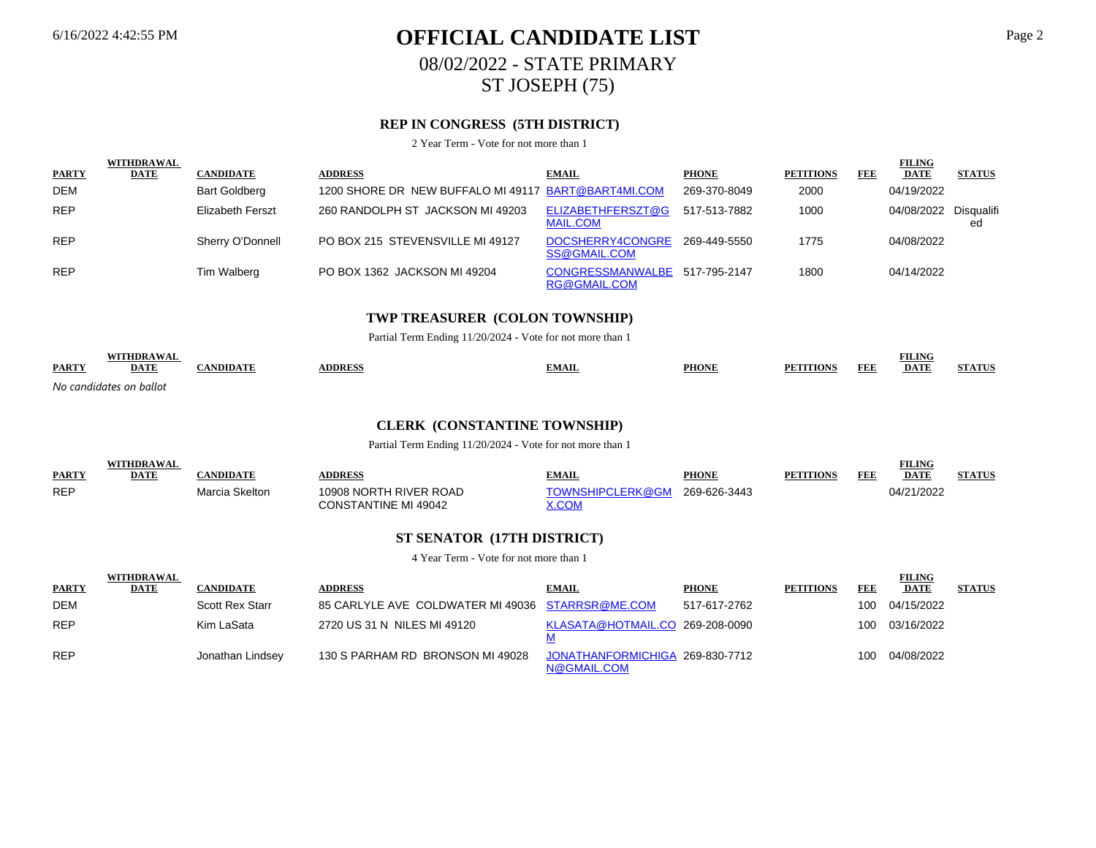# 6/16/2022 4:42:55 PM **OFFICIAL CANDIDATE LIST** Page 2 08/02/2022 - STATE PRIMARY ST JOSEPH (75)

## **REP IN CONGRESS (5TH DISTRICT)**

2 Year Term - Vote for not more than 1

|              | <b>WITHDRAWAL</b> |                         |                                                     |                                         |              |                  |     | <b>FILING</b>         |               |
|--------------|-------------------|-------------------------|-----------------------------------------------------|-----------------------------------------|--------------|------------------|-----|-----------------------|---------------|
| <b>PARTY</b> | <b>DATE</b>       | <b>CANDIDATE</b>        | <b>ADDRESS</b>                                      | <b>EMAIL</b>                            | <b>PHONE</b> | <b>PETITIONS</b> | FEE | <b>DATE</b>           | <b>STATUS</b> |
| <b>DEM</b>   |                   | <b>Bart Goldberg</b>    | 1200 SHORE DR NEW BUFFALO MI 49117 BART@BART4MI.COM |                                         | 269-370-8049 | 2000             |     | 04/19/2022            |               |
| <b>REP</b>   |                   | <b>Elizabeth Ferszt</b> | 260 RANDOLPH ST JACKSON MI 49203                    | ELIZABETHFERSZT@G<br><b>MAIL.COM</b>    | 517-513-7882 | 1000             |     | 04/08/2022 Disqualifi | ed            |
| <b>REP</b>   |                   | Sherry O'Donnell        | PO BOX 215 STEVENSVILLE MI 49127                    | DOCSHERRY4CONGRE<br>SS@GMAIL.COM        | 269-449-5550 | 1775             |     | 04/08/2022            |               |
| <b>REP</b>   |                   | Tim Walberg             | PO BOX 1362 JACKSON MI 49204                        | <b>CONGRESSMANWALBE</b><br>RG@GMAIL.COM | 517-795-2147 | 1800             |     | 04/14/2022            |               |

### **TWP TREASURER (COLON TOWNSHIP)**

Partial Term Ending 11/20/2024 - Vote for not more than 1

| <b>PARTY</b> | WITHDR A W A<br><b>DATE</b> | NDIDA. | <b>DDRESS</b> | <b>EMAIL</b> | <b>PHONE</b> | <b>FEE</b><br>PF <sub>1</sub><br><b>TTIONS</b> | <b>FILING</b><br><b>DATF</b> | <b>IND A SEX TO</b> |
|--------------|-----------------------------|--------|---------------|--------------|--------------|------------------------------------------------|------------------------------|---------------------|
|              | No candidates on ballot     |        |               |              |              |                                                |                              |                     |

#### **CLERK (CONSTANTINE TOWNSHIP)**

Partial Term Ending 11/20/2024 - Vote for not more than 1

| <b>PARTY</b> | <b>WITHDRAWAL</b><br><b>DATE</b> | <b>:ANDIDATE</b> | <b>DDRESS</b>                                         | <b>TMAIL</b>                      | <b>PHONE</b> | <b>PETITIONS</b> | FEE | <b>FILING</b><br><b>DATE</b> | <b>STATUS</b> |
|--------------|----------------------------------|------------------|-------------------------------------------------------|-----------------------------------|--------------|------------------|-----|------------------------------|---------------|
| <b>REP</b>   |                                  | Marcia Skelton   | 10908 NORTH RIVER ROAD<br><b>CONSTANTINE MI 49042</b> | TOWNSHIPCLERK@GM<br><u> K.COM</u> | 269-626-3443 |                  |     | 04/21/2022                   |               |

#### **ST SENATOR (17TH DISTRICT)**

|              | <b>WITHDRAWAL</b> |                        |                                                  |                                                |              |                  |     | <b>FILING</b> |               |
|--------------|-------------------|------------------------|--------------------------------------------------|------------------------------------------------|--------------|------------------|-----|---------------|---------------|
| <b>PARTY</b> | <b>DATE</b>       | <b>CANDIDATE</b>       | <b>ADDRESS</b>                                   | <b>EMAIL</b>                                   | <b>PHONE</b> | <b>PETITIONS</b> | FEE | <b>DATE</b>   | <b>STATUS</b> |
| <b>DEM</b>   |                   | <b>Scott Rex Starr</b> | 85 CARLYLE AVE COLDWATER MI 49036 STARRSR@ME.COM |                                                | 517-617-2762 |                  | 100 | 04/15/2022    |               |
| <b>REP</b>   |                   | Kim LaSata             | 2720 US 31 N NILES MI 49120                      | KLASATA@HOTMAIL.CO 269-208-0090                |              |                  | 100 | 03/16/2022    |               |
| <b>REP</b>   |                   | Jonathan Lindsey       | 130 S PARHAM RD BRONSON MI 49028                 | JONATHANFORMICHIGA 269-830-7712<br>N@GMAIL.COM |              |                  | 100 | 04/08/2022    |               |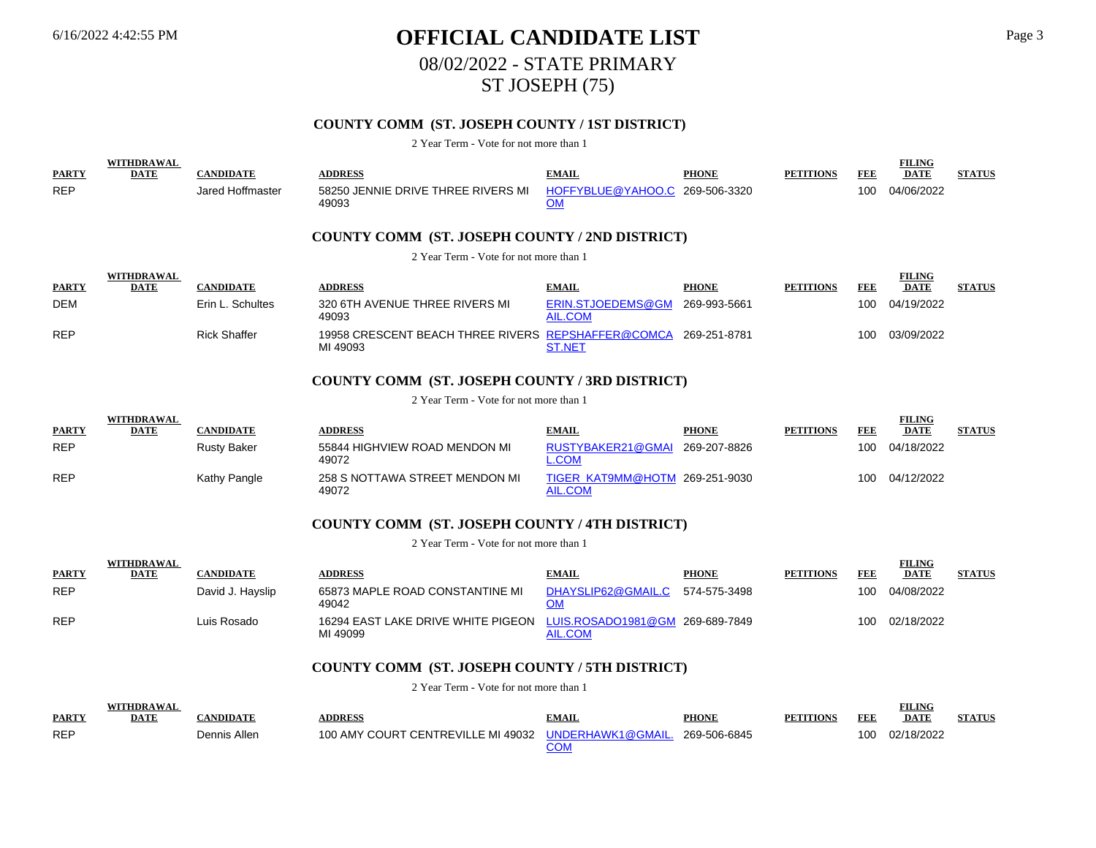**WITHDRAWAL** 

WITH**ER AWAY** 

WITH**DRAWAL AWAY** 

# 6/16/2022 4:42:55 PM **OFFICIAL CANDIDATE LIST** Page 3 08/02/2022 - STATE PRIMARY ST JOSEPH (75)

## **COUNTY COMM (ST. JOSEPH COUNTY / 1ST DISTRICT)**

#### 2 Year Term - Vote for not more than 1

|              | WIIHDKAWAL  |                     |                                                                |                                             |              |                  |            | <b>FILLING</b> |               |
|--------------|-------------|---------------------|----------------------------------------------------------------|---------------------------------------------|--------------|------------------|------------|----------------|---------------|
| <b>PARTY</b> | <b>DATE</b> | <b>CANDIDATE</b>    | <b>ADDRESS</b>                                                 | <b>EMAIL</b>                                | <b>PHONE</b> | <b>PETITIONS</b> | <b>FEE</b> | <b>DATE</b>    | <b>STATUS</b> |
| <b>REP</b>   |             | Jared Hoffmaster    | 58250 JENNIE DRIVE THREE RIVERS MI<br>49093                    | HOFFYBLUE@YAHOO.C 269-506-3320<br><u>OM</u> |              |                  | 100        | 04/06/2022     |               |
|              |             |                     | <b>COUNTY COMM (ST. JOSEPH COUNTY / 2ND DISTRICT)</b>          |                                             |              |                  |            |                |               |
|              |             |                     | 2 Year Term - Vote for not more than 1                         |                                             |              |                  |            |                |               |
|              | WITHDRAWAL  |                     |                                                                |                                             |              |                  |            | <b>FILING</b>  |               |
| <b>PARTY</b> | DATE        | <b>CANDIDATE</b>    | <b>ADDRESS</b>                                                 | <b>EMAIL</b>                                | <b>PHONE</b> | <b>PETITIONS</b> | FEE        | <b>DATE</b>    | <b>STATUS</b> |
| DEM          |             | Erin L. Schultes    | 320 6TH AVENUE THREE RIVERS MI<br>49093                        | ERIN.STJOEDEMS@GM<br>AIL.COM                | 269-993-5661 |                  | 100        | 04/19/2022     |               |
| <b>REP</b>   |             | <b>Rick Shaffer</b> | 19958 CRESCENT BEACH THREE RIVERS REPSHAFFER@COMCA<br>MI 49093 | <b>ST.NET</b>                               | 269-251-8781 |                  | 100        | 03/09/2022     |               |
|              |             |                     |                                                                |                                             |              |                  |            |                |               |

## **COUNTY COMM (ST. JOSEPH COUNTY / 3RD DISTRICT)**

#### 2 Year Term - Vote for not more than 1

|              | WIIHDKAWAL  |                    |                                         |                                                  |              |                  |     | <b>FILLING</b> |               |
|--------------|-------------|--------------------|-----------------------------------------|--------------------------------------------------|--------------|------------------|-----|----------------|---------------|
| <b>PARTY</b> | <b>DATE</b> | CANDIDATE          | <b>\DDRESS</b>                          | <b>EMAIL</b>                                     | <b>PHONE</b> | <b>PETITIONS</b> | FDE | <b>DATE</b>    | <b>STATUS</b> |
| <b>REP</b>   |             | <b>Rusty Baker</b> | 55844 HIGHVIEW ROAD MENDON MI<br>49072  | RUSTYBAKER21@GMAI<br>COM                         | 269-207-8826 |                  | 100 | 04/18/2022     |               |
| <b>REP</b>   |             | Kathy Pangle       | 258 S NOTTAWA STREET MENDON MI<br>49072 | TIGER KAT9MM@HOTM 269-251-9030<br><b>AIL.COM</b> |              |                  | 100 | 04/12/2022     |               |

### **COUNTY COMM (ST. JOSEPH COUNTY / 4TH DISTRICT)**

2 Year Term - Vote for not more than 1

|              | WIIHDKAWAL  |                  |                                                                                |                    |              |                  |     | FILING      |               |
|--------------|-------------|------------------|--------------------------------------------------------------------------------|--------------------|--------------|------------------|-----|-------------|---------------|
| <b>PARTY</b> | <b>DATE</b> | CANDIDATE        | <b>\DDRESS</b>                                                                 | <b>EMAIL</b>       | <b>PHONE</b> | <b>PETITIONS</b> | FEE | <b>DATE</b> | <b>STATUS</b> |
| <b>REP</b>   |             | David J. Hayslip | 65873 MAPLE ROAD CONSTANTINE MI<br>49042                                       | DHAYSLIP62@GMAIL.C | 574-575-3498 |                  | 100 | 04/08/2022  |               |
| <b>REP</b>   |             | Luis Rosado      | 16294 EAST LAKE DRIVE WHITE PIGEON LUIS.ROSADO1981@GM 269-689-7849<br>MI 49099 | AIL.COM            |              |                  | 100 | 02/18/2022  |               |

#### **COUNTY COMM (ST. JOSEPH COUNTY / 5TH DISTRICT)**

2 Year Term - Vote for not more than 1

| <b>PARTY</b> | VITHDRAWAL<br><b>DATE</b> | 'ANDIDATE    | <b>DDRESS</b>                                        | EMAIL | <b>PHONE</b> | <b>PETITIONS</b> | FEE | <b>FILING</b><br><b>DATE</b> |  |
|--------------|---------------------------|--------------|------------------------------------------------------|-------|--------------|------------------|-----|------------------------------|--|
| <b>REP</b>   |                           | Dennis Allen | 100 AMY COURT CENTREVILLE MI 49032 UNDERHAWK1@GMAIL. |       | 269-506-6845 |                  | 100 | 02/18/2022                   |  |

**FILING** 

**FILING** 

**FILING**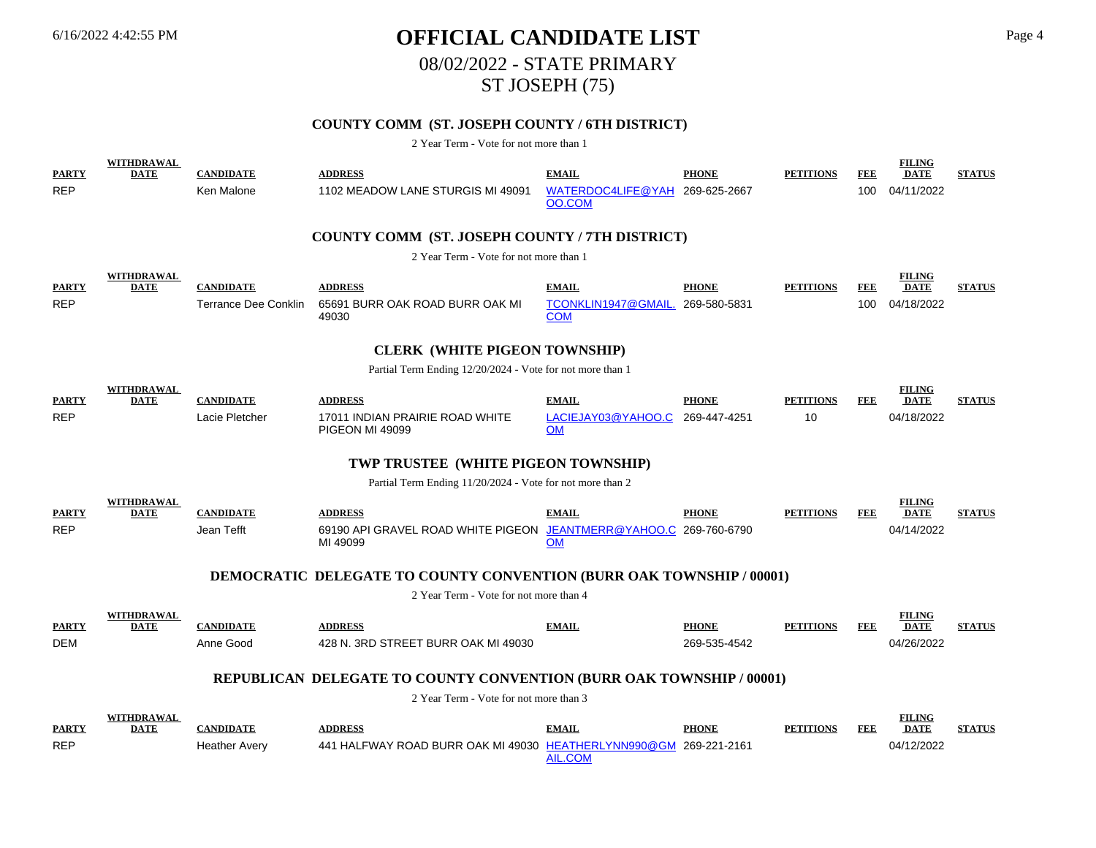# 6/16/2022 4:42:55 PM **OFFICIAL CANDIDATE LIST** Page 4 08/02/2022 - STATE PRIMARY ST JOSEPH (75)

## **COUNTY COMM (ST. JOSEPH COUNTY / 6TH DISTRICT)**

| <b>PARTY</b>               | <b>WITHDRAWAL</b><br><b>DATE</b> | <b>CANDIDATE</b>                         | <b>ADDRESS</b>                                                                                                 | <b>EMAIL</b>                                | <b>PHONE</b>                 | <b>PETITIONS</b> | <b>FEE</b> | <b>FILING</b><br><b>DATE</b> | <b>STATUS</b> |
|----------------------------|----------------------------------|------------------------------------------|----------------------------------------------------------------------------------------------------------------|---------------------------------------------|------------------------------|------------------|------------|------------------------------|---------------|
| <b>REP</b>                 |                                  | Ken Malone                               | 1102 MEADOW LANE STURGIS MI 49091                                                                              | WATERDOC4LIFE@YAH 269-625-2667<br>OO.COM    |                              |                  | 100        | 04/11/2022                   |               |
|                            |                                  |                                          | COUNTY COMM (ST. JOSEPH COUNTY / 7TH DISTRICT)                                                                 |                                             |                              |                  |            |                              |               |
|                            |                                  |                                          | 2 Year Term - Vote for not more than 1                                                                         |                                             |                              |                  |            |                              |               |
| <b>PARTY</b>               | WITHDRAWAL<br><b>DATE</b>        | <b>CANDIDATE</b>                         | <b>ADDRESS</b>                                                                                                 | <b>EMAIL</b>                                | <b>PHONE</b>                 | <b>PETITIONS</b> | <b>FEE</b> | <b>FILING</b><br><b>DATE</b> | <b>STATUS</b> |
| <b>REP</b>                 |                                  | <b>Terrance Dee Conklin</b>              | 65691 BURR OAK ROAD BURR OAK MI<br>49030                                                                       | TCONKLIN1947@GMAIL.<br><b>COM</b>           | 269-580-5831                 |                  | 100        | 04/18/2022                   |               |
|                            |                                  |                                          | <b>CLERK (WHITE PIGEON TOWNSHIP)</b>                                                                           |                                             |                              |                  |            |                              |               |
|                            |                                  |                                          | Partial Term Ending 12/20/2024 - Vote for not more than 1                                                      |                                             |                              |                  |            |                              |               |
| <b>PARTY</b>               | <b>WITHDRAWAL</b><br><b>DATE</b> | <b>CANDIDATE</b>                         | <b>ADDRESS</b>                                                                                                 | <b>EMAIL</b>                                | <b>PHONE</b>                 | <b>PETITIONS</b> | <b>FEE</b> | <b>FILING</b><br><b>DATE</b> | <b>STATUS</b> |
| <b>REP</b>                 |                                  | Lacie Pletcher                           | 17011 INDIAN PRAIRIE ROAD WHITE<br><b>PIGEON MI 49099</b>                                                      | LACIEJAY03@YAHOO.C<br><b>OM</b>             | 269-447-4251                 | 10               |            | 04/18/2022                   |               |
|                            |                                  |                                          | TWP TRUSTEE (WHITE PIGEON TOWNSHIP)                                                                            |                                             |                              |                  |            |                              |               |
|                            |                                  |                                          | Partial Term Ending 11/20/2024 - Vote for not more than 2                                                      |                                             |                              |                  |            |                              |               |
| <b>PARTY</b>               | WITHDRAWAL<br><b>DATE</b>        | <b>CANDIDATE</b>                         | <b>ADDRESS</b>                                                                                                 | <b>EMAIL</b>                                | <b>PHONE</b>                 | <b>PETITIONS</b> | <b>FEE</b> | <b>FILING</b><br><b>DATE</b> | <b>STATUS</b> |
| <b>REP</b>                 |                                  | Jean Tefft                               | 69190 API GRAVEL ROAD WHITE PIGEON<br>MI 49099                                                                 | JEANTMERR@YAHOO.C 269-760-6790<br><b>OM</b> |                              |                  |            | 04/14/2022                   |               |
|                            |                                  |                                          | <b>DEMOCRATIC DELEGATE TO COUNTY CONVENTION (BURR OAK TOWNSHIP / 00001)</b>                                    |                                             |                              |                  |            |                              |               |
|                            |                                  |                                          | 2 Year Term - Vote for not more than 4                                                                         |                                             |                              |                  |            |                              |               |
| <b>PARTY</b>               | <b>WITHDRAWAL</b><br><b>DATE</b> | <b>CANDIDATE</b>                         | <b>ADDRESS</b>                                                                                                 | <b>EMAIL</b>                                | <b>PHONE</b>                 | <b>PETITIONS</b> | <b>FEE</b> | <b>FILING</b><br><b>DATE</b> | <b>STATUS</b> |
| <b>DEM</b>                 |                                  | Anne Good                                | 428 N. 3RD STREET BURR OAK MI 49030                                                                            |                                             | 269-535-4542                 |                  |            | 04/26/2022                   |               |
|                            |                                  |                                          |                                                                                                                |                                             |                              |                  |            |                              |               |
|                            |                                  |                                          | REPUBLICAN DELEGATE TO COUNTY CONVENTION (BURR OAK TOWNSHIP / 00001)<br>2 Year Term - Vote for not more than 3 |                                             |                              |                  |            |                              |               |
|                            | <b>WITHDRAWAL</b>                |                                          |                                                                                                                |                                             |                              |                  |            | <b>FILING</b>                |               |
| <b>PARTY</b><br><b>REP</b> | <b>DATE</b>                      | <b>CANDIDATE</b><br><b>Heather Avery</b> | <b>ADDRESS</b><br>441 HALFWAY ROAD BURR OAK MI 49030 HEATHERLYNN990@GM                                         | <b>EMAIL</b>                                | <b>PHONE</b><br>269-221-2161 | <b>PETITIONS</b> | <b>FEE</b> | <b>DATE</b><br>04/12/2022    | <b>STATUS</b> |
|                            |                                  |                                          |                                                                                                                | <b>AIL.COM</b>                              |                              |                  |            |                              |               |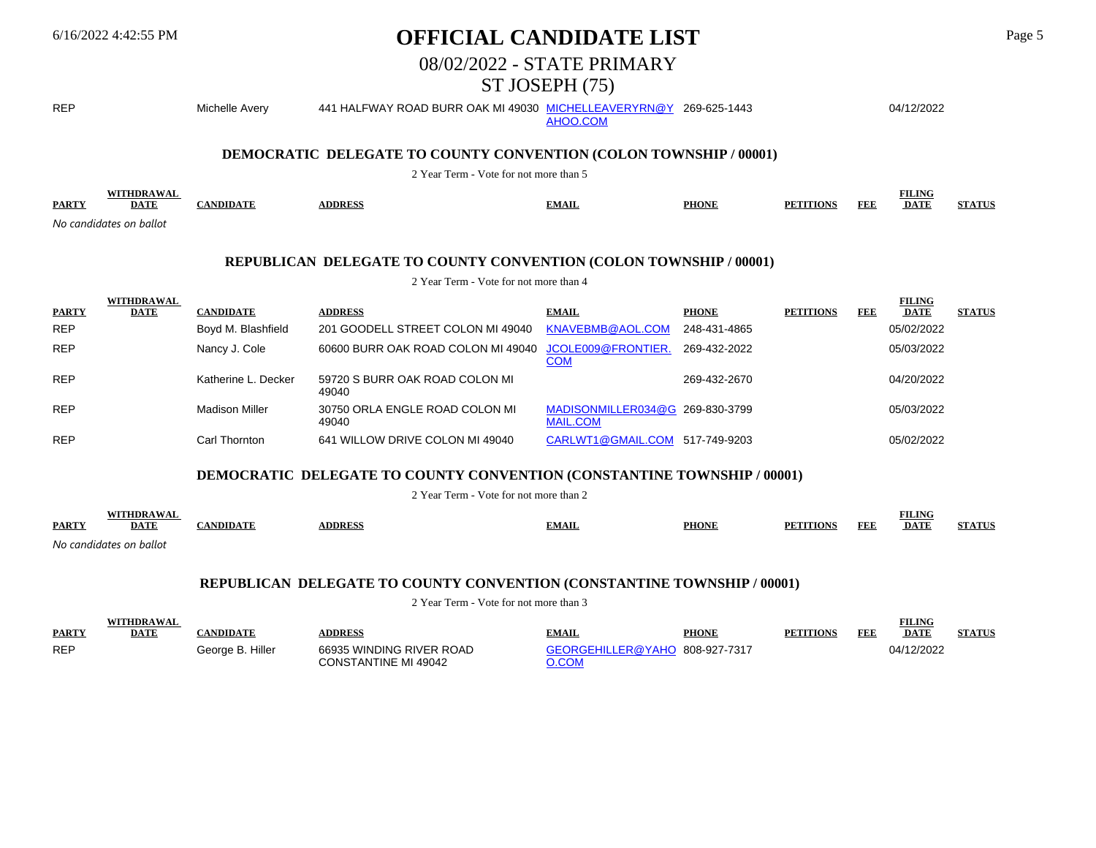## 6/16/2022 4:42:55 PM **OFFICIAL CANDIDATE LIST** Page 5

## 08/02/2022 - STATE PRIMARY

## ST JOSEPH (75)

REP Michelle Avery 441 HALFWAY ROAD BURR OAK MI 49030 <u>MICHELLEAVERYRN@Y</u> 269-625-1443 04/12/2022 AHOO.COM **DEMOCRATIC DELEGATE TO COUNTY CONVENTION (COLON TOWNSHIP / 00001)** 2 Year Term - Vote for not more than 5

| <b>PARTY</b>  |        |  | MAIL | DE'<br>TIAN | FEL<br>____ | 'H<br><b>ALVAT</b><br>DA. |  |
|---------------|--------|--|------|-------------|-------------|---------------------------|--|
| No<br>, candi | hallot |  |      |             |             |                           |  |

#### **REPUBLICAN DELEGATE TO COUNTY CONVENTION (COLON TOWNSHIP / 00001)**

2 Year Term - Vote for not more than 4

| <b>PARTY</b> | WITHDRAWAL<br>DATE | <b>CANDIDATE</b>    | <b>ADDRESS</b>                          | <b>EMAIL</b>                                       | <b>PHONE</b> | <b>PETITIONS</b> | FEE | <b>FILING</b><br><b>DATE</b> | <b>STATUS</b> |
|--------------|--------------------|---------------------|-----------------------------------------|----------------------------------------------------|--------------|------------------|-----|------------------------------|---------------|
| <b>REP</b>   |                    | Boyd M. Blashfield  | 201 GOODELL STREET COLON MI 49040       | KNAVEBMB@AOL.COM                                   | 248-431-4865 |                  |     | 05/02/2022                   |               |
| <b>REP</b>   |                    | Nancy J. Cole       | 60600 BURR OAK ROAD COLON MI 49040      | JCOLE009@FRONTIER.<br><u>COM</u>                   | 269-432-2022 |                  |     | 05/03/2022                   |               |
| <b>REP</b>   |                    | Katherine L. Decker | 59720 S BURR OAK ROAD COLON MI<br>49040 |                                                    | 269-432-2670 |                  |     | 04/20/2022                   |               |
| <b>REP</b>   |                    | Madison Miller      | 30750 ORLA ENGLE ROAD COLON MI<br>49040 | MADISONMILLER034@G 269-830-3799<br><b>MAIL.COM</b> |              |                  |     | 05/03/2022                   |               |
| <b>REP</b>   |                    | Carl Thornton       | 641 WILLOW DRIVE COLON MI 49040         | CARLWT1@GMAIL.COM                                  | 517-749-9203 |                  |     | 05/02/2022                   |               |

### **DEMOCRATIC DELEGATE TO COUNTY CONVENTION (CONSTANTINE TOWNSHIP / 00001)**

2 Year Term - Vote for not more than 2

|              | FIIDD A WA              |                       |               |              |              |                                   |     | <b>FILING</b> |                |
|--------------|-------------------------|-----------------------|---------------|--------------|--------------|-----------------------------------|-----|---------------|----------------|
| <b>PARTY</b> | DATE                    | $ANDIDA$ <sup>T</sup> | <b>ADDRES</b> | <b>EMAIL</b> | <b>PHONE</b> | PF <sub>1</sub><br><b>'ITIONS</b> | FDE | <b>DATE</b>   | C'T' A 'T'I'C' |
|              | No candidates on ballot |                       |               |              |              |                                   |     |               |                |

## **REPUBLICAN DELEGATE TO COUNTY CONVENTION (CONSTANTINE TOWNSHIP / 00001)**

|              |      |                  |                          |                                |              |                  |     | <b>FILING</b> |               |
|--------------|------|------------------|--------------------------|--------------------------------|--------------|------------------|-----|---------------|---------------|
| <b>PARTY</b> | DATE | 'ANDIDATE        | <b>DDRESS</b>            | <b>EMAIL</b>                   | <b>PHONE</b> | <b>PETITIONS</b> | FEE | <b>DATE</b>   | <b>STATUS</b> |
| <b>REP</b>   |      | Georae B. Hiller | 66935 WINDING RIVER ROAD | GEORGEHILLER@YAHO 808-927-7317 |              |                  |     | 04/12/2022    |               |
|              |      |                  | CONSTANTINE MI 49042     |                                |              |                  |     |               |               |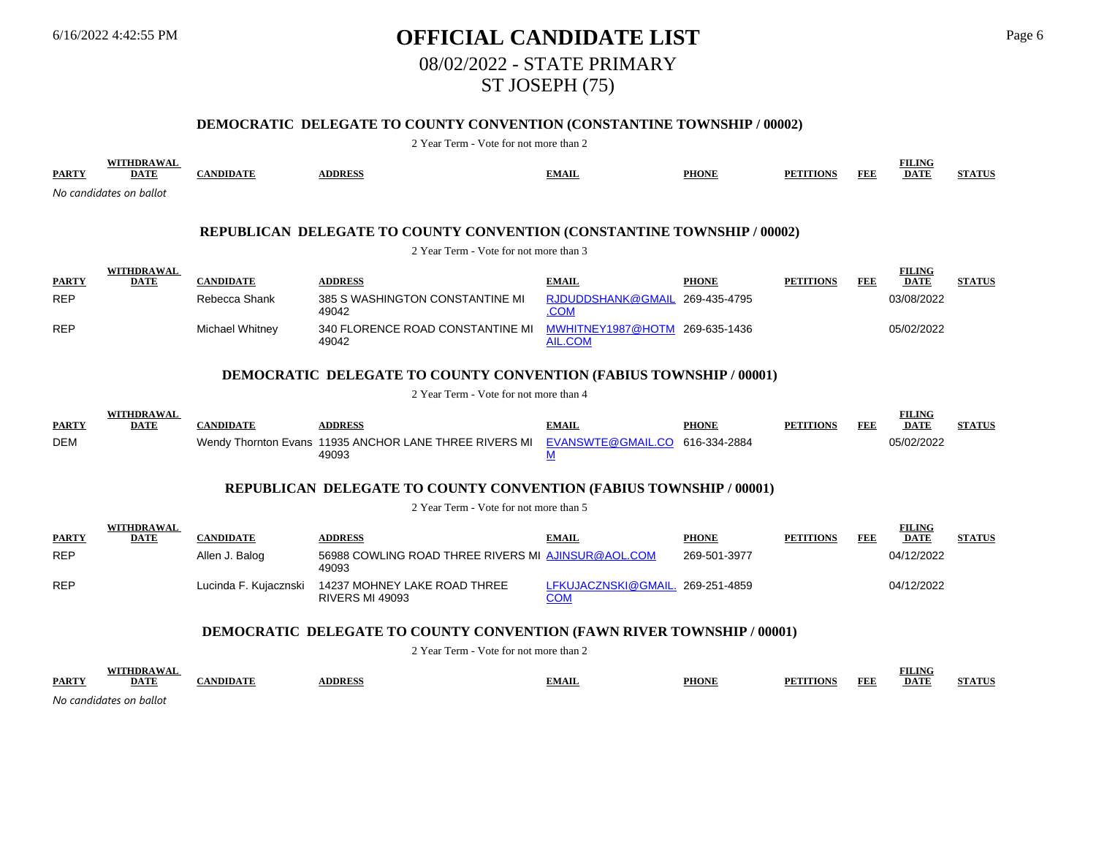# 6/16/2022 4:42:55 PM **OFFICIAL CANDIDATE LIST** Page 6 08/02/2022 - STATE PRIMARY ST JOSEPH (75)

## **DEMOCRATIC DELEGATE TO COUNTY CONVENTION (CONSTANTINE TOWNSHIP / 00002)**

| <b>PARTY</b> | WITHDRAWAL<br><b>DATE</b> | <b>CANDIDATE</b>      | <b>ADDRESS</b>                                                                | <b>EMAIL</b>                                     | <b>PHONE</b> | <b>PETITIONS</b> | <b>FEE</b> | <b>FILING</b><br><b>DATE</b> | <b>STATUS</b> |
|--------------|---------------------------|-----------------------|-------------------------------------------------------------------------------|--------------------------------------------------|--------------|------------------|------------|------------------------------|---------------|
|              | No candidates on ballot   |                       |                                                                               |                                                  |              |                  |            |                              |               |
|              |                           |                       |                                                                               |                                                  |              |                  |            |                              |               |
|              |                           |                       | REPUBLICAN DELEGATE TO COUNTY CONVENTION (CONSTANTINE TOWNSHIP / 00002)       |                                                  |              |                  |            |                              |               |
|              |                           |                       | 2 Year Term - Vote for not more than 3                                        |                                                  |              |                  |            |                              |               |
|              | <b>WITHDRAWAL</b>         |                       |                                                                               |                                                  |              |                  |            | <b>FILING</b>                |               |
| <b>PARTY</b> | <b>DATE</b>               | <b>CANDIDATE</b>      | <b>ADDRESS</b>                                                                | <b>EMAIL</b>                                     | <b>PHONE</b> | <b>PETITIONS</b> | <b>FEE</b> | <b>DATE</b>                  | <b>STATUS</b> |
| <b>REP</b>   |                           | Rebecca Shank         | 385 S WASHINGTON CONSTANTINE MI<br>49042                                      | RJDUDDSHANK@GMAIL 269-435-4795<br>.COM           |              |                  |            | 03/08/2022                   |               |
| <b>REP</b>   |                           | Michael Whitney       | 340 FLORENCE ROAD CONSTANTINE MI<br>49042                                     | MWHITNEY1987@HOTM 269-635-1436<br><b>AIL.COM</b> |              |                  |            | 05/02/2022                   |               |
|              |                           |                       |                                                                               |                                                  |              |                  |            |                              |               |
|              |                           |                       | <b>DEMOCRATIC DELEGATE TO COUNTY CONVENTION (FABIUS TOWNSHIP / 00001)</b>     |                                                  |              |                  |            |                              |               |
|              |                           |                       | 2 Year Term - Vote for not more than 4                                        |                                                  |              |                  |            |                              |               |
| <b>PARTY</b> | <b>WITHDRAWAL</b>         | <b>CANDIDATE</b>      | <b>ADDRESS</b>                                                                | <b>EMAIL</b>                                     | <b>PHONE</b> | <b>PETITIONS</b> | <b>FEE</b> | <b>FILING</b>                |               |
| <b>DEM</b>   | <b>DATE</b>               |                       |                                                                               | EVANSWTE@GMAIL.CO 616-334-2884                   |              |                  |            | <b>DATE</b><br>05/02/2022    | <b>STATUS</b> |
|              |                           |                       | Wendy Thornton Evans 11935 ANCHOR LANE THREE RIVERS MI<br>49093               | $\underline{\mathsf{M}}$                         |              |                  |            |                              |               |
|              |                           |                       | <b>REPUBLICAN DELEGATE TO COUNTY CONVENTION (FABIUS TOWNSHIP / 00001)</b>     |                                                  |              |                  |            |                              |               |
|              |                           |                       | 2 Year Term - Vote for not more than 5                                        |                                                  |              |                  |            |                              |               |
|              | <b>WITHDRAWAL</b>         |                       |                                                                               |                                                  |              |                  |            | <b>FILING</b>                |               |
| <b>PARTY</b> | <b>DATE</b>               | <b>CANDIDATE</b>      | <b>ADDRESS</b>                                                                | <b>EMAIL</b>                                     | <b>PHONE</b> | <b>PETITIONS</b> | FEE        | <b>DATE</b>                  | <b>STATUS</b> |
| <b>REP</b>   |                           | Allen J. Balog        | 56988 COWLING ROAD THREE RIVERS MI AJINSUR@AOL.COM<br>49093                   |                                                  | 269-501-3977 |                  |            | 04/12/2022                   |               |
| <b>REP</b>   |                           | Lucinda F. Kujacznski | 14237 MOHNEY LAKE ROAD THREE<br>RIVERS MI 49093                               | LFKUJACZNSKI@GMAIL. 269-251-4859<br><b>COM</b>   |              |                  |            | 04/12/2022                   |               |
|              |                           |                       | <b>DEMOCRATIC DELEGATE TO COUNTY CONVENTION (FAWN RIVER TOWNSHIP / 00001)</b> |                                                  |              |                  |            |                              |               |
|              |                           |                       | 2 Year Term - Vote for not more than 2                                        |                                                  |              |                  |            |                              |               |
|              | WITHDRAWAL                |                       |                                                                               |                                                  |              |                  |            | <b>FILING</b>                |               |
| <b>PARTY</b> | DATE                      | <b>CANDIDATE</b>      | <b>ADDRESS</b>                                                                | <b>EMAIL</b>                                     | <b>PHONE</b> | <b>PETITIONS</b> | <b>FEE</b> | <b>DATE</b>                  | <b>STATUS</b> |
|              | No candidates on ballot   |                       |                                                                               |                                                  |              |                  |            |                              |               |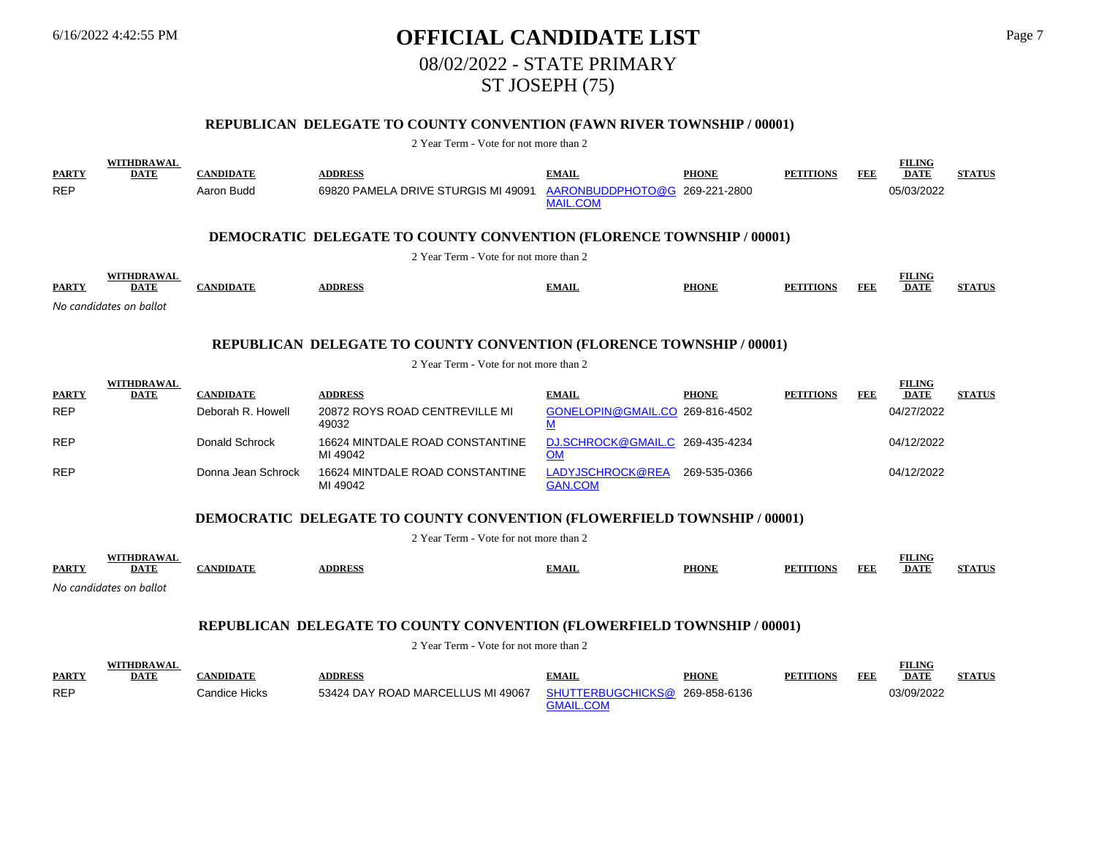# 6/16/2022 4:42:55 PM **OFFICIAL CANDIDATE LIST** Page 7 08/02/2022 - STATE PRIMARY ST JOSEPH (75)

## **REPUBLICAN DELEGATE TO COUNTY CONVENTION (FAWN RIVER TOWNSHIP / 00001)**

#### 2 Year Term - Vote for not more than 2

| <b>PARTY</b><br><b>REP</b>                                                                                     | <b>WITHDRAWAL</b><br><b>DATE</b> | <b>CANDIDATE</b><br>Aaron Budd | <b>ADDRESS</b><br>69820 PAMELA DRIVE STURGIS MI 49091                          | <b>EMAIL</b><br>AARONBUDDPHOTO@G 269-221-2800<br><b>MAIL.COM</b> | <b>PHONE</b> | <b>PETITIONS</b> | FEE | <b>FILING</b><br><b>DATE</b><br>05/03/2022 | <b>STATUS</b> |  |  |
|----------------------------------------------------------------------------------------------------------------|----------------------------------|--------------------------------|--------------------------------------------------------------------------------|------------------------------------------------------------------|--------------|------------------|-----|--------------------------------------------|---------------|--|--|
|                                                                                                                |                                  |                                | <b>DEMOCRATIC DELEGATE TO COUNTY CONVENTION (FLORENCE TOWNSHIP / 00001)</b>    |                                                                  |              |                  |     |                                            |               |  |  |
|                                                                                                                |                                  |                                | 2 Year Term - Vote for not more than 2                                         |                                                                  |              |                  |     |                                            |               |  |  |
| <b>PARTY</b>                                                                                                   | <b>WITHDRAWAL</b><br><b>DATE</b> | <b>CANDIDATE</b>               | <b>ADDRESS</b>                                                                 | <b>EMAIL</b>                                                     | <b>PHONE</b> | <b>PETITIONS</b> | FEE | <b>FILING</b><br><b>DATE</b>               | <b>STATUS</b> |  |  |
|                                                                                                                | No candidates on ballot          |                                |                                                                                |                                                                  |              |                  |     |                                            |               |  |  |
| REPUBLICAN DELEGATE TO COUNTY CONVENTION (FLORENCE TOWNSHIP / 00001)<br>2 Year Term - Vote for not more than 2 |                                  |                                |                                                                                |                                                                  |              |                  |     |                                            |               |  |  |
| <b>PARTY</b>                                                                                                   | WITHDRAWAL<br><b>DATE</b>        | <b>CANDIDATE</b>               | <b>ADDRESS</b>                                                                 | <b>EMAIL</b>                                                     | <b>PHONE</b> | <b>PETITIONS</b> | FEE | <b>FILING</b><br><b>DATE</b>               | <b>STATUS</b> |  |  |
| <b>REP</b>                                                                                                     |                                  | Deborah R. Howell              | 20872 ROYS ROAD CENTREVILLE MI<br>49032                                        | GONELOPIN@GMAIL.CO 269-816-4502<br>M                             |              |                  |     | 04/27/2022                                 |               |  |  |
| <b>REP</b>                                                                                                     |                                  | Donald Schrock                 | 16624 MINTDALE ROAD CONSTANTINE<br>MI 49042                                    | DJ.SCHROCK@GMAIL.C 269-435-4234<br><b>OM</b>                     |              |                  |     | 04/12/2022                                 |               |  |  |
| <b>REP</b>                                                                                                     |                                  | Donna Jean Schrock             | 16624 MINTDALE ROAD CONSTANTINE<br>MI 49042                                    | LADYJSCHROCK@REA<br><b>GAN.COM</b>                               | 269-535-0366 |                  |     | 04/12/2022                                 |               |  |  |
|                                                                                                                |                                  |                                | <b>DEMOCRATIC DELEGATE TO COUNTY CONVENTION (FLOWERFIELD TOWNSHIP / 00001)</b> |                                                                  |              |                  |     |                                            |               |  |  |
|                                                                                                                |                                  |                                | 2 Year Term - Vote for not more than 2                                         |                                                                  |              |                  |     |                                            |               |  |  |
| <b>PARTY</b>                                                                                                   | <b>WITHDRAWAL</b><br><b>DATE</b> | <b>CANDIDATE</b>               | <b>ADDRESS</b>                                                                 | <b>EMAIL</b>                                                     | <b>PHONE</b> | <b>PETITIONS</b> | FEE | <b>FILING</b><br><b>DATE</b>               | <b>STATUS</b> |  |  |

*No candidates on ballot*

### **REPUBLICAN DELEGATE TO COUNTY CONVENTION (FLOWERFIELD TOWNSHIP / 00001)**

|              | <b>THDRAWAL</b> |                 |                                   |                                |              |                  |     | <b>FILING</b> |               |
|--------------|-----------------|-----------------|-----------------------------------|--------------------------------|--------------|------------------|-----|---------------|---------------|
| <b>PARTY</b> | <b>DATE</b>     | <b>ANDIDATE</b> | <b>DDRESS</b>                     | <b>EMAIL</b>                   | <b>PHONE</b> | <b>PETITIONS</b> | FEE | <b>DATE</b>   | <b>STATUS</b> |
| <b>REP</b>   |                 | ≿andice Hicks   | 53424 DAY ROAD MARCELLUS MI 49067 | SHUTTERBUGCHICKS@ 269-858-6136 |              |                  |     | 03/09/2022    |               |
|              |                 |                 |                                   |                                |              |                  |     |               |               |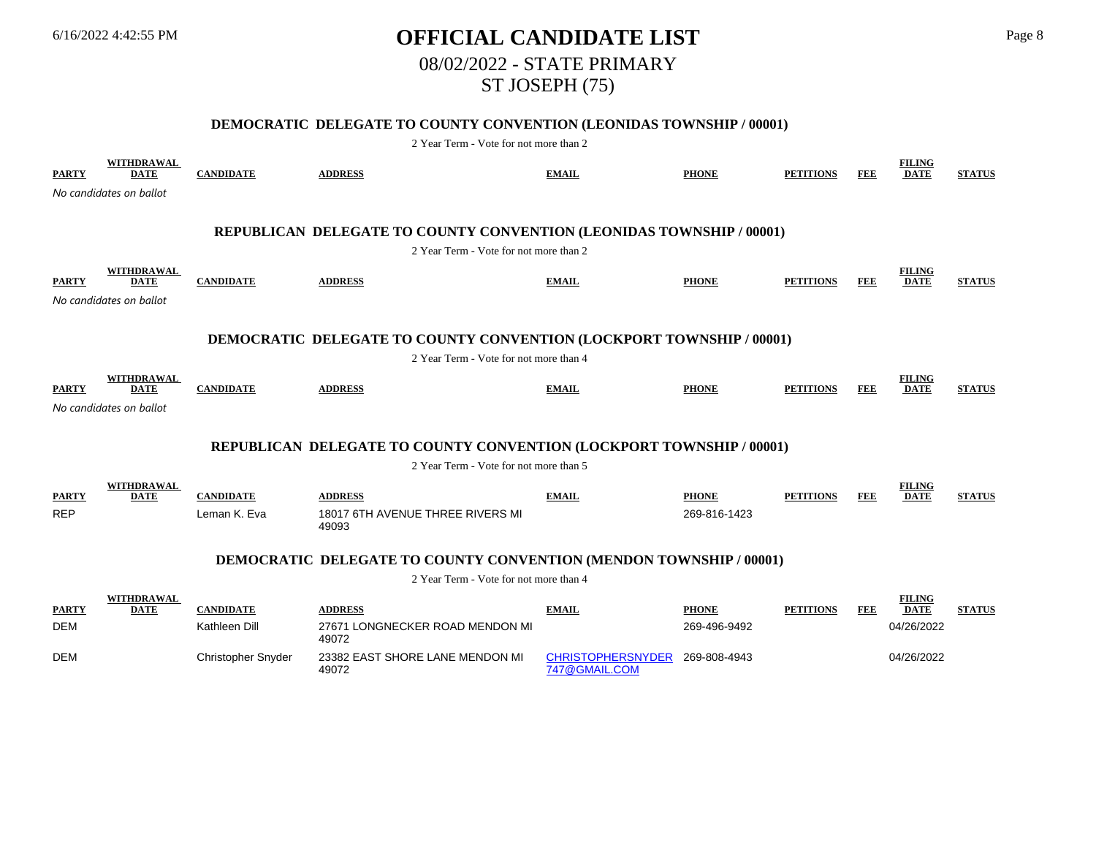# 6/16/2022 4:42:55 PM **OFFICIAL CANDIDATE LIST** Page 8 08/02/2022 - STATE PRIMARY ST JOSEPH (75)

## **DEMOCRATIC DELEGATE TO COUNTY CONVENTION (LEONIDAS TOWNSHIP / 00001)**

| <b>PARTY</b>               | WITHDRAWAL<br><b>DATE</b>        | <b>CANDIDATE</b> | <b>ADDRESS</b>                                                                                                        | <b>EMAIL</b> | <b>PHONE</b> | <b>PETITIONS</b> | FEE        | <b>FILING</b><br><b>DATE</b> | <b>STATUS</b> |
|----------------------------|----------------------------------|------------------|-----------------------------------------------------------------------------------------------------------------------|--------------|--------------|------------------|------------|------------------------------|---------------|
|                            | No candidates on ballot          |                  |                                                                                                                       |              |              |                  |            |                              |               |
|                            |                                  |                  | REPUBLICAN DELEGATE TO COUNTY CONVENTION (LEONIDAS TOWNSHIP / 00001)                                                  |              |              |                  |            |                              |               |
|                            |                                  |                  | 2 Year Term - Vote for not more than 2                                                                                |              |              |                  |            |                              |               |
| <b>PARTY</b>               | <b>WITHDRAWAL</b><br><b>DATE</b> | <b>CANDIDATE</b> | <b>ADDRESS</b>                                                                                                        | <b>EMAIL</b> | <b>PHONE</b> | <b>PETITIONS</b> | <b>FEE</b> | <b>FILING</b><br><b>DATE</b> | <b>STATUS</b> |
|                            | No candidates on ballot          |                  |                                                                                                                       |              |              |                  |            |                              |               |
|                            |                                  |                  |                                                                                                                       |              |              |                  |            |                              |               |
|                            |                                  |                  | <b>DEMOCRATIC DELEGATE TO COUNTY CONVENTION (LOCKPORT TOWNSHIP / 00001)</b><br>2 Year Term - Vote for not more than 4 |              |              |                  |            |                              |               |
|                            | WITHDRAWAL                       |                  |                                                                                                                       |              |              |                  |            | <b>FILING</b>                |               |
| <b>PARTY</b>               | <b>DATE</b>                      | <b>CANDIDATE</b> | <b>ADDRESS</b>                                                                                                        | <b>EMAIL</b> | <b>PHONE</b> | <b>PETITIONS</b> | <b>FEE</b> | <b>DATE</b>                  | <b>STATUS</b> |
|                            | No candidates on ballot          |                  |                                                                                                                       |              |              |                  |            |                              |               |
|                            |                                  |                  | <b>REPUBLICAN DELEGATE TO COUNTY CONVENTION (LOCKPORT TOWNSHIP / 00001)</b>                                           |              |              |                  |            |                              |               |
|                            |                                  |                  | 2 Year Term - Vote for not more than 5                                                                                |              |              |                  |            |                              |               |
|                            |                                  |                  |                                                                                                                       |              |              |                  |            |                              |               |
|                            | WITHDRAWAL<br><b>DATE</b>        | <b>CANDIDATE</b> |                                                                                                                       |              | <b>PHONE</b> | <b>PETITIONS</b> | FEE        | <b>FILING</b>                |               |
| <b>PARTY</b><br><b>REP</b> |                                  | Leman K. Eva     | <b>ADDRESS</b><br>18017 6TH AVENUE THREE RIVERS MI<br>49093                                                           | <b>EMAIL</b> | 269-816-1423 |                  |            | <b>DATE</b>                  | <b>STATUS</b> |
|                            |                                  |                  | <b>DEMOCRATIC DELEGATE TO COUNTY CONVENTION (MENDON TOWNSHIP / 00001)</b>                                             |              |              |                  |            |                              |               |
|                            |                                  |                  | 2 Year Term - Vote for not more than 4                                                                                |              |              |                  |            |                              |               |
| <b>PARTY</b>               | WITHDRAWAL<br><b>DATE</b>        | <b>CANDIDATE</b> | <b>ADDRESS</b>                                                                                                        | <b>EMAIL</b> | <b>PHONE</b> | <b>PETITIONS</b> | <b>FEE</b> | <b>FILING</b><br><b>DATE</b> | <b>STATUS</b> |
| <b>DEM</b>                 |                                  | Kathleen Dill    | 27671 LONGNECKER ROAD MENDON MI<br>49072                                                                              |              | 269-496-9492 |                  |            | 04/26/2022                   |               |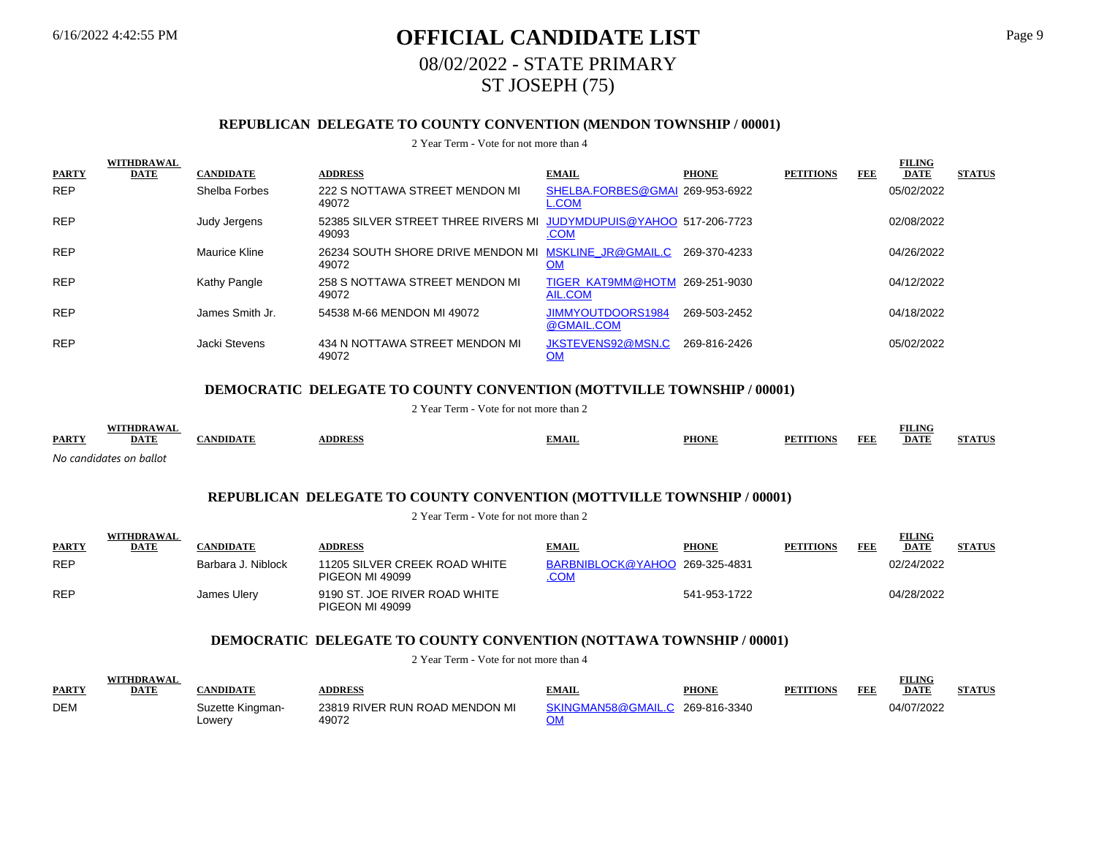# 6/16/2022 4:42:55 PM **OFFICIAL CANDIDATE LIST** Page 9 08/02/2022 - STATE PRIMARY ST JOSEPH (75)

## **REPUBLICAN DELEGATE TO COUNTY CONVENTION (MENDON TOWNSHIP / 00001)**

#### 2 Year Term - Vote for not more than 4

|              | <b>WITHDRAWAL</b> |                  |                                                               |                                           |              |                  |     | <b>FILING</b> |               |
|--------------|-------------------|------------------|---------------------------------------------------------------|-------------------------------------------|--------------|------------------|-----|---------------|---------------|
| <b>PARTY</b> | <b>DATE</b>       | <b>CANDIDATE</b> | <b>ADDRESS</b>                                                | <b>EMAIL</b>                              | <b>PHONE</b> | <b>PETITIONS</b> | FEE | <b>DATE</b>   | <b>STATUS</b> |
| <b>REP</b>   |                   | Shelba Forbes    | 222 S NOTTAWA STREET MENDON MI<br>49072                       | SHELBA.FORBES@GMAI 269-953-6922<br>L.COM  |              |                  |     | 05/02/2022    |               |
| <b>REP</b>   |                   | Judy Jergens     | 52385 SILVER STREET THREE RIVERS MI<br>49093                  | JUDYMDUPUIS@YAHOO 517-206-7723<br>.COM    |              |                  |     | 02/08/2022    |               |
| <b>REP</b>   |                   | Maurice Kline    | 26234 SOUTH SHORE DRIVE MENDON MI MSKLINE JR@GMAIL.C<br>49072 | <u>OM</u>                                 | 269-370-4233 |                  |     | 04/26/2022    |               |
| <b>REP</b>   |                   | Kathy Pangle     | 258 S NOTTAWA STREET MENDON MI<br>49072                       | TIGER KAT9MM@HOTM 269-251-9030<br>AIL.COM |              |                  |     | 04/12/2022    |               |
| <b>REP</b>   |                   | James Smith Jr.  | 54538 M-66 MENDON MI 49072                                    | JIMMYOUTDOORS1984<br>@GMAIL.COM           | 269-503-2452 |                  |     | 04/18/2022    |               |
| <b>REP</b>   |                   | Jacki Stevens    | 434 N NOTTAWA STREET MENDON MI<br>49072                       | JKSTEVENS92@MSN.C<br><u>OM</u>            | 269-816-2426 |                  |     | 05/02/2022    |               |

## **DEMOCRATIC DELEGATE TO COUNTY CONVENTION (MOTTVILLE TOWNSHIP / 00001)**

#### 2 Year Term - Vote for not more than 2

|              | <b>A WA</b>             |        |               |              |              |                    | <b>FILING</b> |               |
|--------------|-------------------------|--------|---------------|--------------|--------------|--------------------|---------------|---------------|
| <b>PARTY</b> | <u>DATE</u>             | NDID / | <b>ADDRES</b> | <b>TMAIL</b> | <b>PHONE</b> | <b>FEI</b><br>TONS | <b>DATI</b>   | 353 A 533 363 |
|              | No candidates on ballot |        |               |              |              |                    |               |               |

### **REPUBLICAN DELEGATE TO COUNTY CONVENTION (MOTTVILLE TOWNSHIP / 00001)**

2 Year Term - Vote for not more than 2

|              | <b>WITHDRAWAL</b> |                    |                                                  |                                              |              |                  |     | <b>FILING</b> |               |
|--------------|-------------------|--------------------|--------------------------------------------------|----------------------------------------------|--------------|------------------|-----|---------------|---------------|
| <b>PARTY</b> | <b>DATE</b>       | <b>CANDIDATE</b>   | <b>ADDRESS</b>                                   | <b>EMAIL</b>                                 | <b>PHONE</b> | <b>PETITIONS</b> | FEE | <b>DATE</b>   | <b>STATUS</b> |
| <b>REP</b>   |                   | Barbara J. Niblock | 11205 SILVER CREEK ROAD WHITE<br>PIGEON MI 49099 | BARBNIBLOCK@YAHOO 269-325-4831<br><b>COM</b> |              |                  |     | 02/24/2022    |               |
| <b>REP</b>   |                   | James Ulery        | 9190 ST. JOE RIVER ROAD WHITE<br>PIGEON MI 49099 |                                              | 541-953-1722 |                  |     | 04/28/2022    |               |

### **DEMOCRATIC DELEGATE TO COUNTY CONVENTION (NOTTAWA TOWNSHIP / 00001)**

|              | 2 Year Term - Vote for not more than 4 |                            |                                         |                                 |              |                  |            |               |               |  |
|--------------|----------------------------------------|----------------------------|-----------------------------------------|---------------------------------|--------------|------------------|------------|---------------|---------------|--|
|              | <b>WITHDRAWAL</b>                      |                            |                                         |                                 |              |                  |            | <b>FILING</b> |               |  |
| <b>PARTY</b> | <b>DATE</b>                            | <b>ANDIDATE</b>            | <b>ADDRESS</b>                          | <b>EMAIL</b>                    | <b>PHONE</b> | <b>PETITIONS</b> | <b>FEE</b> | <b>DATE</b>   | <b>STATUS</b> |  |
| <b>DEM</b>   |                                        | Suzette Kingman-<br>Lowery | 23819 RIVER RUN ROAD MENDON MI<br>49072 | SKINGMAN58@GMAIL.C 269-816-3340 |              |                  |            | 04/07/2022    |               |  |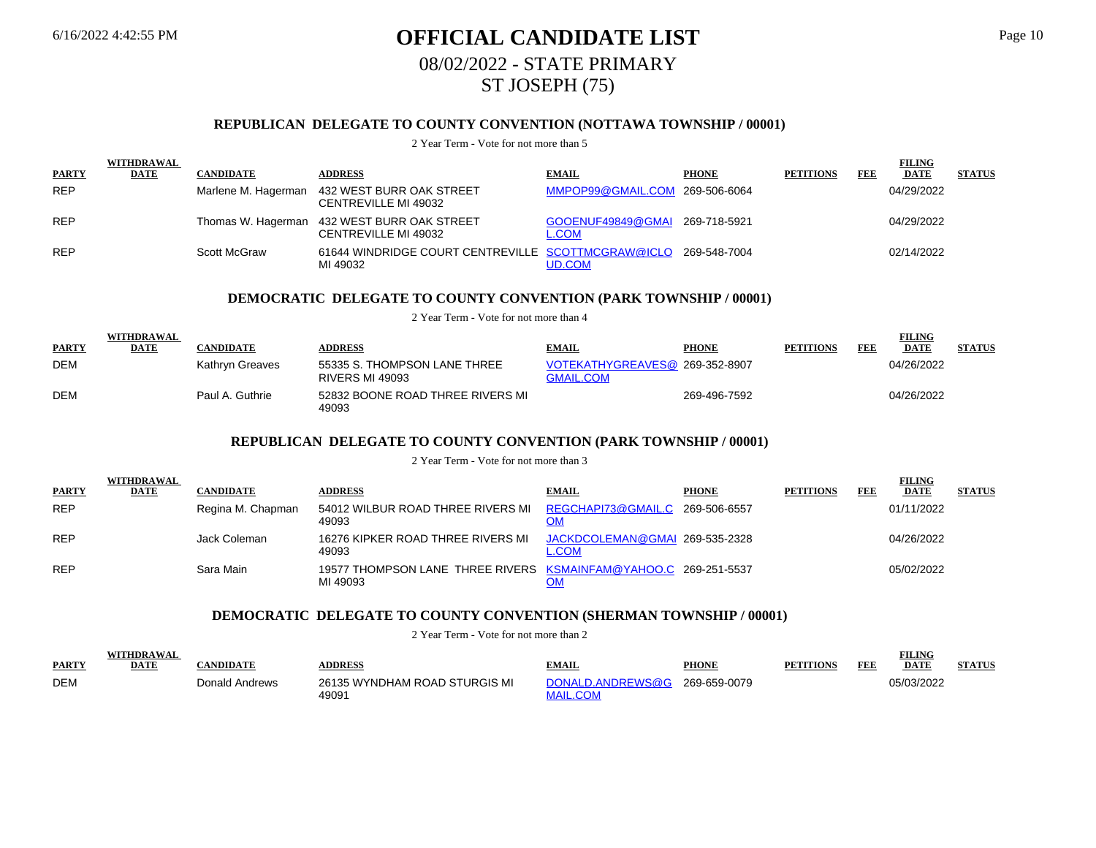# 6/16/2022 4:42:55 PM **OFFICIAL CANDIDATE LIST** Page 10 08/02/2022 - STATE PRIMARY ST JOSEPH (75)

### **REPUBLICAN DELEGATE TO COUNTY CONVENTION (NOTTAWA TOWNSHIP / 00001)**

#### 2 Year Term - Vote for not more than 5

|              | <b>WITHDRAWAL</b> |                  |                                                                             |                                                |              |                  |     | <b>FILING</b> |               |
|--------------|-------------------|------------------|-----------------------------------------------------------------------------|------------------------------------------------|--------------|------------------|-----|---------------|---------------|
| <b>PARTY</b> | <b>DATE</b>       | <b>CANDIDATE</b> | <b>ADDRESS</b>                                                              | <b>EMAIL</b>                                   | <b>PHONE</b> | <b>PETITIONS</b> | FEB | <b>DATE</b>   | <b>STATUS</b> |
| <b>REP</b>   |                   |                  | Marlene M. Hagerman 432 WEST BURR OAK STREET<br>CENTREVILLE MI 49032        | MMPOP99@GMAIL.COM 269-506-6064                 |              |                  |     | 04/29/2022    |               |
| <b>REP</b>   |                   |                  | Thomas W. Hagerman 432 WEST BURR OAK STREET<br>CENTREVILLE MI 49032         | GOOENUF49849@GMAI 269-718-5921<br><b>L.COM</b> |              |                  |     | 04/29/2022    |               |
| <b>REP</b>   |                   | Scott McGraw     | 61644 WINDRIDGE COURT CENTREVILLE SCOTTMCGRAW@ICLO 269-548-7004<br>MI 49032 | UD.COM                                         |              |                  |     | 02/14/2022    |               |

#### **DEMOCRATIC DELEGATE TO COUNTY CONVENTION (PARK TOWNSHIP / 00001)**

2 Year Term - Vote for not more than 4

| <b>PARTY</b> | WITHDRAWAL<br>DATE | CANDIDATE       | <b>ADDRESS</b>                                         | <b>EMAIL</b>                                       | <b>PHONE</b> | <b>PETITIONS</b> | FEE | FILING<br><b>DATE</b> | <b>STATUS</b> |
|--------------|--------------------|-----------------|--------------------------------------------------------|----------------------------------------------------|--------------|------------------|-----|-----------------------|---------------|
| <b>DEM</b>   |                    | Kathrvn Greaves | 55335 S. THOMPSON LANE THREE<br><b>RIVERS MI 49093</b> | VOTEKATHYGREAVES@ 269-352-8907<br><b>GMAIL.COM</b> |              |                  |     | 04/26/2022            |               |
| <b>DEM</b>   |                    | Paul A. Guthrie | 52832 BOONE ROAD THREE RIVERS MI<br>49093              |                                                    | 269-496-7592 |                  |     | 04/26/2022            |               |

#### **REPUBLICAN DELEGATE TO COUNTY CONVENTION (PARK TOWNSHIP / 00001)**

2 Year Term - Vote for not more than 3

|              | <b>WITHDRAWAL</b> |                   |                                                                             |                                                |              |                  |     | <b>FILING</b> |               |
|--------------|-------------------|-------------------|-----------------------------------------------------------------------------|------------------------------------------------|--------------|------------------|-----|---------------|---------------|
| <b>PARTY</b> | <b>DATE</b>       | <b>CANDIDATE</b>  | <b>ADDRESS</b>                                                              | <b>EMAIL</b>                                   | <b>PHONE</b> | <b>PETITIONS</b> | FEE | <b>DATE</b>   | <b>STATUS</b> |
| <b>REP</b>   |                   | Regina M. Chapman | 54012 WILBUR ROAD THREE RIVERS MI REGCHAPI73@GMAIL.C 269-506-6557<br>49093  | OM                                             |              |                  |     | 01/11/2022    |               |
| <b>REP</b>   |                   | Jack Coleman      | 16276 KIPKER ROAD THREE RIVERS MI<br>49093                                  | JACKDCOLEMAN@GMAI 269-535-2328<br><b>L.COM</b> |              |                  |     | 04/26/2022    |               |
| <b>REP</b>   |                   | Sara Main         | 19577 THOMPSON LANE THREE RIVERS KSMAINFAM@YAHOO.C 269-251-5537<br>MI 49093 |                                                |              |                  |     | 05/02/2022    |               |

#### **DEMOCRATIC DELEGATE TO COUNTY CONVENTION (SHERMAN TOWNSHIP / 00001)**

|              | WITHDD A WAI |                |                                        |                  |              |                  |     | <b>FILING</b> |               |
|--------------|--------------|----------------|----------------------------------------|------------------|--------------|------------------|-----|---------------|---------------|
| <b>PARTY</b> | <b>DATE</b>  | <b>NDIDATE</b> | <b>DDRESS</b>                          | <b>EMAIL</b>     | <b>PHONE</b> | <b>PETITIONS</b> | FEE | <b>DATE</b>   | <b>STATUS</b> |
| <b>DEM</b>   |              | Donald Andrews | 26135 WYNDHAM ROAD STURGIS MI<br>49091 | DONALD.ANDREWS@G | 269-659-0079 |                  |     | 05/03/2022    |               |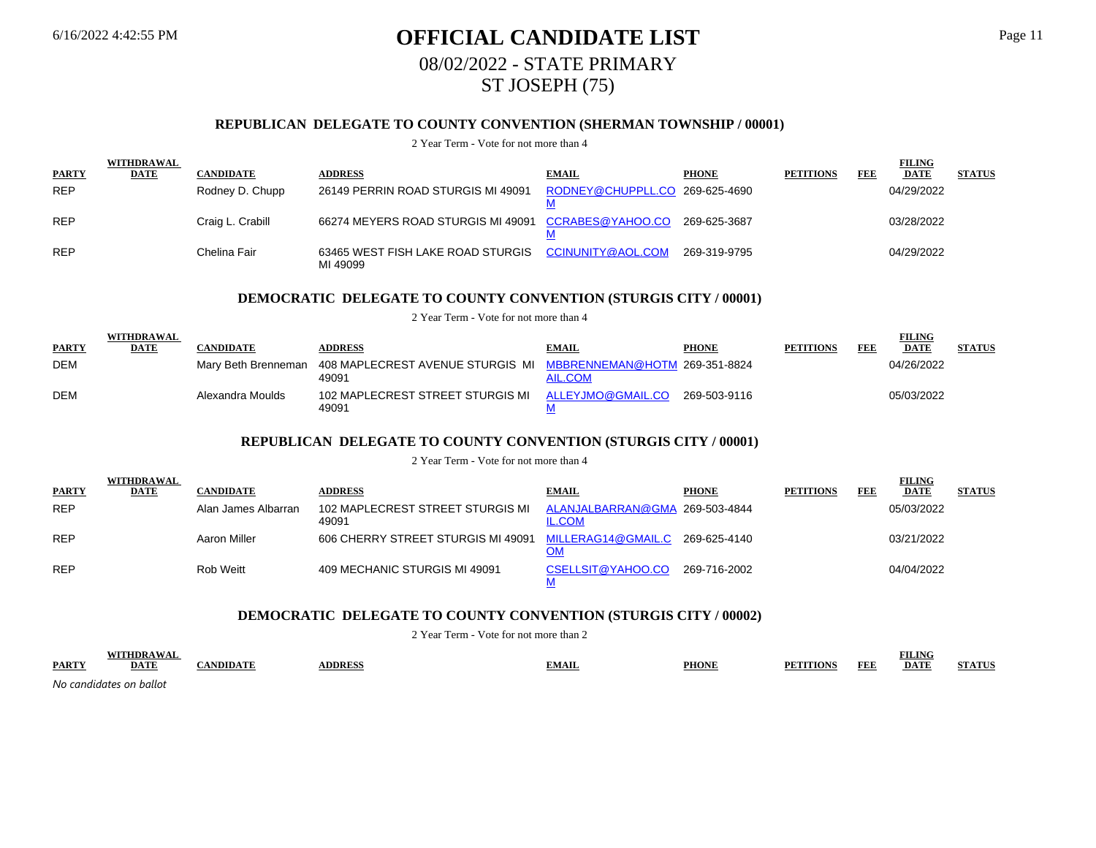# 6/16/2022 4:42:55 PM **OFFICIAL CANDIDATE LIST** Page 11 08/02/2022 - STATE PRIMARY ST JOSEPH (75)

## **REPUBLICAN DELEGATE TO COUNTY CONVENTION (SHERMAN TOWNSHIP / 00001)**

#### 2 Year Term - Vote for not more than 4

|              | WITHDRAWAL |                  |                                                     |                                |              |                  |     | <b>FILING</b> |               |
|--------------|------------|------------------|-----------------------------------------------------|--------------------------------|--------------|------------------|-----|---------------|---------------|
| <b>PARTY</b> | DATE       | <b>CANDIDATE</b> | <b>ADDRESS</b>                                      | <b>EMAIL</b>                   | <b>PHONE</b> | <b>PETITIONS</b> | FEE | <b>DATE</b>   | <b>STATUS</b> |
| <b>REP</b>   |            | Rodney D. Chupp  | 26149 PERRIN ROAD STURGIS MI 49091                  | RODNEY@CHUPPLL.CO 269-625-4690 |              |                  |     | 04/29/2022    |               |
| <b>REP</b>   |            | Craig L. Crabill | 66274 MEYERS ROAD STURGIS MI 49091 CCRABES@YAHOO.CO |                                | 269-625-3687 |                  |     | 03/28/2022    |               |
| <b>REP</b>   |            | Chelina Fair     | 63465 WEST FISH LAKE ROAD STURGIS<br>MI 49099       | CCINUNITY@AOL.COM              | 269-319-9795 |                  |     | 04/29/2022    |               |

#### **DEMOCRATIC DELEGATE TO COUNTY CONVENTION (STURGIS CITY / 00001)**

2 Year Term - Vote for not more than 4

| <b>PARTY</b> | WITHDRAWAL<br>DATE | CANDIDATE        | <b>ADDRESS</b>                                                                              | <b>EMAIL</b>      | <b>PHONE</b> | <b>PETITIONS</b> | FEE | <b>FILING</b><br><b>DATE</b> | <b>STATUS</b> |
|--------------|--------------------|------------------|---------------------------------------------------------------------------------------------|-------------------|--------------|------------------|-----|------------------------------|---------------|
| <b>DEM</b>   |                    |                  | Mary Beth Brenneman 408 MAPLECREST AVENUE STURGIS MI MBBRENNEMAN@HOTM 269-351-8824<br>49091 | AIL.COM           |              |                  |     | 04/26/2022                   |               |
| <b>DEM</b>   |                    | Alexandra Moulds | 102 MAPLECREST STREET STURGIS MI<br>49091                                                   | ALLEYJMO@GMAIL.CO | 269-503-9116 |                  |     | 05/03/2022                   |               |

#### **REPUBLICAN DELEGATE TO COUNTY CONVENTION (STURGIS CITY / 00001)**

2 Year Term - Vote for not more than 4

|              | WITHDRAWAL  |                     |                                           |                                                 |              |                  |     | <b>FILING</b> |               |
|--------------|-------------|---------------------|-------------------------------------------|-------------------------------------------------|--------------|------------------|-----|---------------|---------------|
| <b>PARTY</b> | <b>DATE</b> | <b>CANDIDATE</b>    | <b>ADDRESS</b>                            | <b>EMAIL</b>                                    | <b>PHONE</b> | <b>PETITIONS</b> | FEE | <b>DATE</b>   | <b>STATUS</b> |
| <b>REP</b>   |             | Alan James Albarran | 102 MAPLECREST STREET STURGIS MI<br>49091 | ALANJALBARRAN@GMA 269-503-4844<br><b>IL.COM</b> |              |                  |     | 05/03/2022    |               |
| <b>REP</b>   |             | Aaron Miller        | 606 CHERRY STREET STURGIS MI 49091        | MILLERAG14@GMAIL.C                              | 269-625-4140 |                  |     | 03/21/2022    |               |
| <b>REP</b>   |             | Rob Weitt           | 409 MECHANIC STURGIS MI 49091             | CSELLSIT@YAHOO.CO                               | 269-716-2002 |                  |     | 04/04/2022    |               |

### **DEMOCRATIC DELEGATE TO COUNTY CONVENTION (STURGIS CITY / 00002)**

|              |                                                                     |               |       |              |                                                                                                                                                                                                                                                                        | --------                                                         |  |
|--------------|---------------------------------------------------------------------|---------------|-------|--------------|------------------------------------------------------------------------------------------------------------------------------------------------------------------------------------------------------------------------------------------------------------------------|------------------------------------------------------------------|--|
| <b>PARTY</b> | DA 1.<br><u> 1980 - Andrea Stadt Britain, amerikansk fotballstv</u> | <b>DDDECC</b> | EMAIL | <b>PHONE</b> | <b>TITLE</b><br>H H I<br>г е с<br><u> The Communication of the Communication of the Communication of the Communication of the Communication of the Communication of the Communication of the Communication of the Communication of the Communication of the Commun</u> | <b>DATE</b><br><u> 1980 - Johann Barnett, fransk politiker (</u> |  |
| No can       | ndıdates on ballot                                                  |               |       |              |                                                                                                                                                                                                                                                                        |                                                                  |  |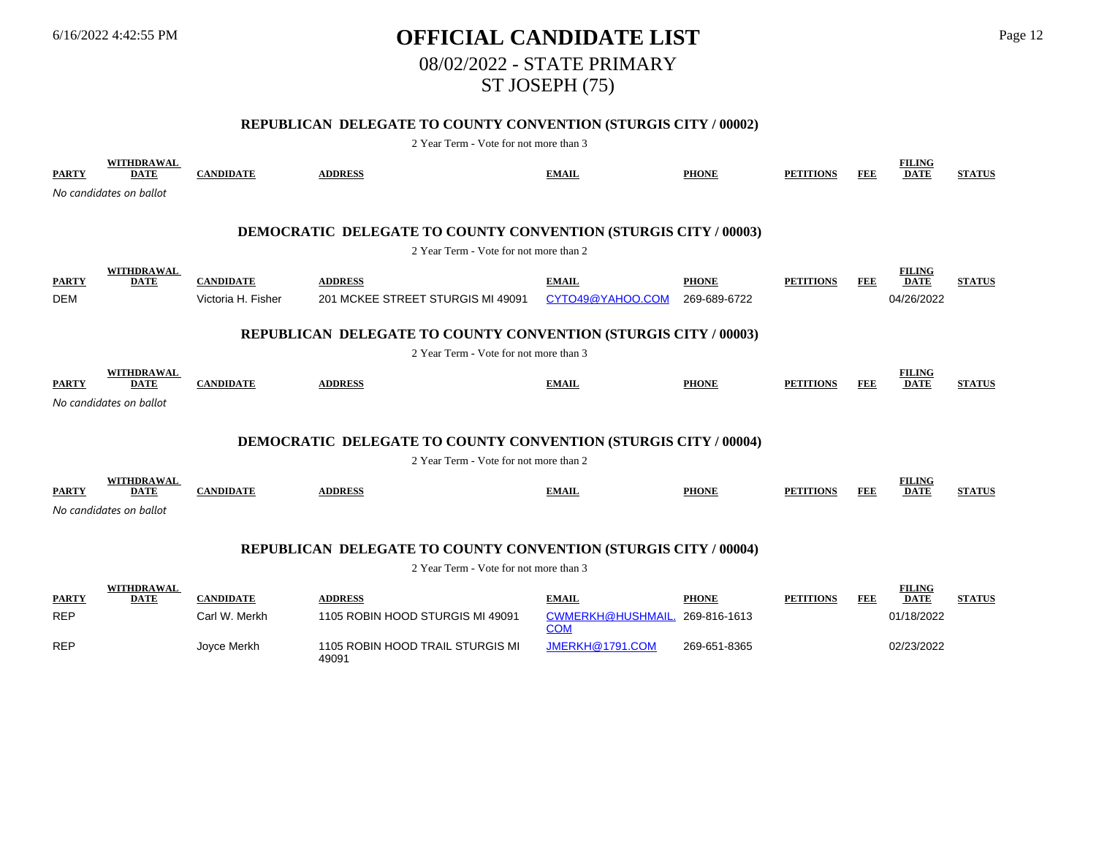# 6/16/2022 4:42:55 PM **OFFICIAL CANDIDATE LIST** Page 12 08/02/2022 - STATE PRIMARY ST JOSEPH (75)

## **REPUBLICAN DELEGATE TO COUNTY CONVENTION (STURGIS CITY / 00002)**

| <b>PARTY</b> | <b>WITHDRAWAL</b><br><b>DATE</b> | <b>CANDIDATE</b>   | <b>ADDRESS</b>                                                                                                   | <b>EMAIL</b>                           | <b>PHONE</b> | <b>PETITIONS</b> | <b>FEE</b> | <b>FILING</b><br><b>DATE</b> | <b>STATUS</b> |
|--------------|----------------------------------|--------------------|------------------------------------------------------------------------------------------------------------------|----------------------------------------|--------------|------------------|------------|------------------------------|---------------|
|              | No candidates on ballot          |                    |                                                                                                                  |                                        |              |                  |            |                              |               |
|              |                                  |                    |                                                                                                                  |                                        |              |                  |            |                              |               |
|              |                                  |                    | <b>DEMOCRATIC DELEGATE TO COUNTY CONVENTION (STURGIS CITY / 00003)</b><br>2 Year Term - Vote for not more than 2 |                                        |              |                  |            |                              |               |
|              |                                  |                    |                                                                                                                  |                                        |              |                  |            |                              |               |
| <b>PARTY</b> | <b>WITHDRAWAL</b><br><b>DATE</b> | <b>CANDIDATE</b>   | <b>ADDRESS</b>                                                                                                   | <b>EMAIL</b>                           | <b>PHONE</b> | <b>PETITIONS</b> | <b>FEE</b> | <b>FILING</b><br><b>DATE</b> | <b>STATUS</b> |
| <b>DEM</b>   |                                  | Victoria H. Fisher | 201 MCKEE STREET STURGIS MI 49091                                                                                | CYTO49@YAHOO.COM                       | 269-689-6722 |                  |            | 04/26/2022                   |               |
|              |                                  |                    |                                                                                                                  |                                        |              |                  |            |                              |               |
|              |                                  |                    | REPUBLICAN DELEGATE TO COUNTY CONVENTION (STURGIS CITY / 00003)                                                  |                                        |              |                  |            |                              |               |
|              |                                  |                    | 2 Year Term - Vote for not more than 3                                                                           |                                        |              |                  |            |                              |               |
| <b>PARTY</b> | <b>WITHDRAWAL</b><br><b>DATE</b> | <b>CANDIDATE</b>   | <b>ADDRESS</b>                                                                                                   | <b>EMAIL</b>                           | <b>PHONE</b> | <b>PETITIONS</b> | <b>FEE</b> | <b>FILING</b><br><b>DATE</b> | <b>STATUS</b> |
|              | No candidates on ballot          |                    |                                                                                                                  |                                        |              |                  |            |                              |               |
|              |                                  |                    |                                                                                                                  |                                        |              |                  |            |                              |               |
|              |                                  |                    | <b>DEMOCRATIC DELEGATE TO COUNTY CONVENTION (STURGIS CITY / 00004)</b>                                           |                                        |              |                  |            |                              |               |
|              |                                  |                    | 2 Year Term - Vote for not more than 2                                                                           |                                        |              |                  |            |                              |               |
|              | <b>WITHDRAWAL</b>                |                    |                                                                                                                  |                                        |              |                  |            | <b>FILING</b>                |               |
| <b>PARTY</b> | <b>DATE</b>                      | <b>CANDIDATE</b>   | <b>ADDRESS</b>                                                                                                   | <b>EMAIL</b>                           | <b>PHONE</b> | <b>PETITIONS</b> | <b>FEE</b> | <b>DATE</b>                  | <b>STATUS</b> |
|              | No candidates on ballot          |                    |                                                                                                                  |                                        |              |                  |            |                              |               |
|              |                                  |                    |                                                                                                                  |                                        |              |                  |            |                              |               |
|              |                                  |                    | <b>REPUBLICAN DELEGATE TO COUNTY CONVENTION (STURGIS CITY / 00004)</b>                                           |                                        |              |                  |            |                              |               |
|              |                                  |                    | 2 Year Term - Vote for not more than 3                                                                           |                                        |              |                  |            |                              |               |
| <b>PARTY</b> | <b>WITHDRAWAL</b><br><b>DATE</b> | <b>CANDIDATE</b>   | <b>ADDRESS</b>                                                                                                   | <b>EMAIL</b>                           | <b>PHONE</b> | <b>PETITIONS</b> | FEE        | <b>FILING</b><br><b>DATE</b> | <b>STATUS</b> |
| <b>REP</b>   |                                  | Carl W. Merkh      | 1105 ROBIN HOOD STURGIS MI 49091                                                                                 | <b>CWMERKH@HUSHMAIL.</b><br><b>COM</b> | 269-816-1613 |                  |            | 01/18/2022                   |               |
| <b>REP</b>   |                                  | Joyce Merkh        | 1105 ROBIN HOOD TRAIL STURGIS MI<br>49091                                                                        | JMERKH@1791.COM                        | 269-651-8365 |                  |            | 02/23/2022                   |               |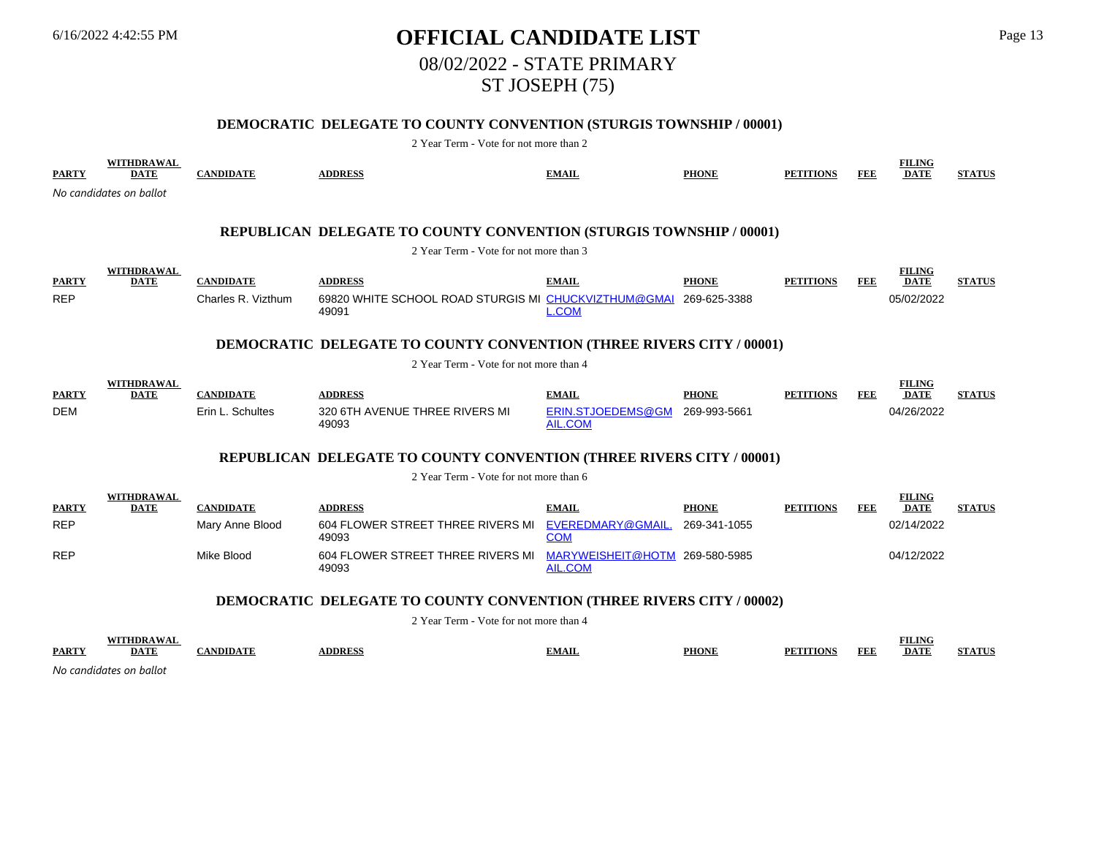# 6/16/2022 4:42:55 PM **OFFICIAL CANDIDATE LIST** Page 13 08/02/2022 - STATE PRIMARY ST JOSEPH (75)

## **DEMOCRATIC DELEGATE TO COUNTY CONVENTION (STURGIS TOWNSHIP / 00001)**

| <b>PARTY</b>                                                                | WITHDRAWAL<br><b>DATE</b>                            | <b>CANDIDATE</b>                       | <b>ADDRESS</b>                                                                                                       | <b>EMAIL</b>                                     | <b>PHONE</b>                 | <b>PETITIONS</b> | <b>FEE</b> | <b>FILING</b><br><b>DATE</b>               | <b>STATUS</b> |  |
|-----------------------------------------------------------------------------|------------------------------------------------------|----------------------------------------|----------------------------------------------------------------------------------------------------------------------|--------------------------------------------------|------------------------------|------------------|------------|--------------------------------------------|---------------|--|
|                                                                             | No candidates on ballot                              |                                        |                                                                                                                      |                                                  |                              |                  |            |                                            |               |  |
|                                                                             |                                                      |                                        | <b>REPUBLICAN DELEGATE TO COUNTY CONVENTION (STURGIS TOWNSHIP / 00001)</b><br>2 Year Term - Vote for not more than 3 |                                                  |                              |                  |            |                                            |               |  |
| <b>PARTY</b><br><b>REP</b>                                                  | WITHDRAWAL<br><b>DATE</b>                            | <b>CANDIDATE</b><br>Charles R. Vizthum | <b>ADDRESS</b><br>69820 WHITE SCHOOL ROAD STURGIS MI CHUCKVIZTHUM@GMAI                                               | <b>EMAIL</b>                                     | <b>PHONE</b><br>269-625-3388 | <b>PETITIONS</b> | <b>FEE</b> | <b>FILING</b><br><b>DATE</b><br>05/02/2022 | <b>STATUS</b> |  |
|                                                                             |                                                      |                                        | 49091<br><b>DEMOCRATIC DELEGATE TO COUNTY CONVENTION (THREE RIVERS CITY / 00001)</b>                                 | <b>L.COM</b>                                     |                              |                  |            |                                            |               |  |
|                                                                             |                                                      |                                        | 2 Year Term - Vote for not more than 4                                                                               |                                                  |                              |                  |            |                                            |               |  |
| <b>PARTY</b>                                                                | <b>WITHDRAWAL</b><br><b>DATE</b>                     | <b>CANDIDATE</b>                       | <b>ADDRESS</b>                                                                                                       | <b>EMAIL</b>                                     | <b>PHONE</b>                 | <b>PETITIONS</b> | <b>FEE</b> | <b>FILING</b><br><b>DATE</b>               | <b>STATUS</b> |  |
| <b>DEM</b>                                                                  |                                                      | Erin L. Schultes                       | 320 6TH AVENUE THREE RIVERS MI<br>49093                                                                              | ERIN.STJOEDEMS@GM<br><b>AIL.COM</b>              | 269-993-5661                 |                  |            | 04/26/2022                                 |               |  |
|                                                                             |                                                      |                                        | REPUBLICAN DELEGATE TO COUNTY CONVENTION (THREE RIVERS CITY / 00001)                                                 |                                                  |                              |                  |            |                                            |               |  |
|                                                                             |                                                      |                                        | 2 Year Term - Vote for not more than 6                                                                               |                                                  |                              |                  |            |                                            |               |  |
| <b>PARTY</b>                                                                | WITHDRAWAL<br><b>DATE</b>                            | <b>CANDIDATE</b>                       | <b>ADDRESS</b>                                                                                                       | <b>EMAIL</b>                                     | <b>PHONE</b>                 | <b>PETITIONS</b> | <b>FEE</b> | <b>FILING</b><br><b>DATE</b>               | <b>STATUS</b> |  |
| <b>REP</b>                                                                  |                                                      | Mary Anne Blood                        | 604 FLOWER STREET THREE RIVERS MI<br>49093                                                                           | EVEREDMARY@GMAIL.<br><b>COM</b>                  | 269-341-1055                 |                  |            | 02/14/2022                                 |               |  |
| <b>REP</b>                                                                  |                                                      | Mike Blood                             | 604 FLOWER STREET THREE RIVERS MI<br>49093                                                                           | MARYWEISHEIT@HOTM 269-580-5985<br><b>AIL.COM</b> |                              |                  |            | 04/12/2022                                 |               |  |
| <b>DEMOCRATIC DELEGATE TO COUNTY CONVENTION (THREE RIVERS CITY / 00002)</b> |                                                      |                                        |                                                                                                                      |                                                  |                              |                  |            |                                            |               |  |
|                                                                             |                                                      |                                        | 2 Year Term - Vote for not more than 4                                                                               |                                                  |                              |                  |            |                                            |               |  |
| <b>PARTY</b>                                                                | WITHDRAWAL<br><b>DATE</b><br>No candidates on ballot | <b>CANDIDATE</b>                       | <b>ADDRESS</b>                                                                                                       | <b>EMAIL</b>                                     | <b>PHONE</b>                 | <b>PETITIONS</b> | <b>FEE</b> | <b>FILING</b><br><b>DATE</b>               | <b>STATUS</b> |  |